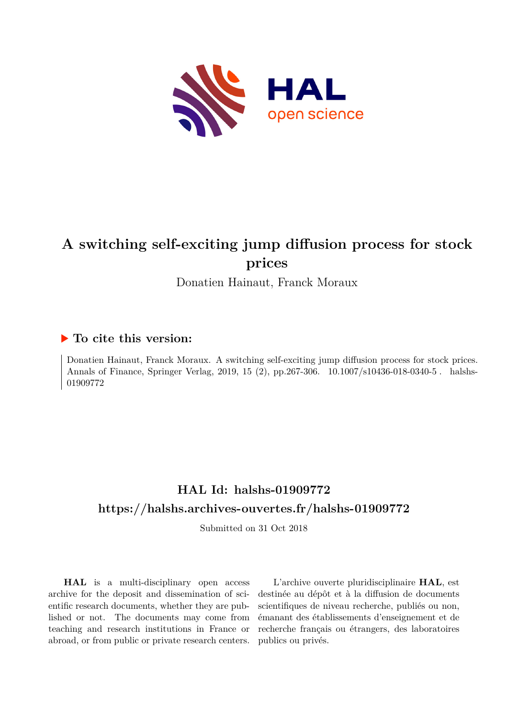

# **A switching self-exciting jump diffusion process for stock prices**

Donatien Hainaut, Franck Moraux

## **To cite this version:**

Donatien Hainaut, Franck Moraux. A switching self-exciting jump diffusion process for stock prices. Annals of Finance, Springer Verlag, 2019, 15 (2), pp.267-306. 10.1007/s10436-018-0340-5. halshs-01909772ff

# **HAL Id: halshs-01909772 <https://halshs.archives-ouvertes.fr/halshs-01909772>**

Submitted on 31 Oct 2018

**HAL** is a multi-disciplinary open access archive for the deposit and dissemination of scientific research documents, whether they are published or not. The documents may come from teaching and research institutions in France or abroad, or from public or private research centers.

L'archive ouverte pluridisciplinaire **HAL**, est destinée au dépôt et à la diffusion de documents scientifiques de niveau recherche, publiés ou non, émanant des établissements d'enseignement et de recherche français ou étrangers, des laboratoires publics ou privés.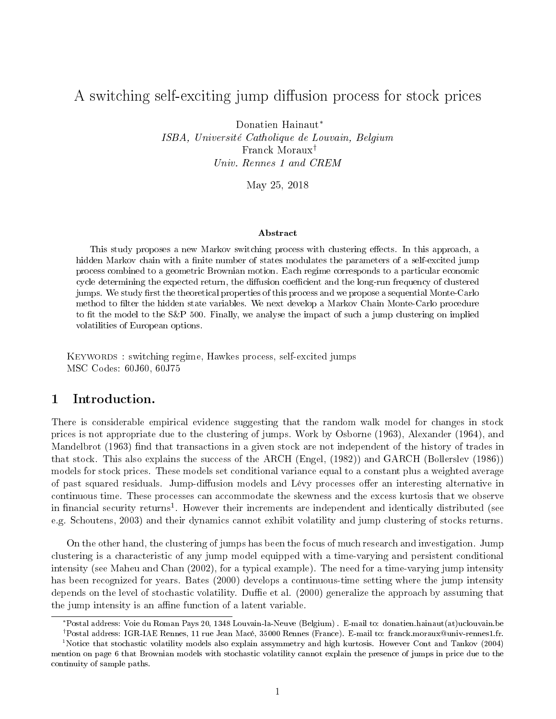## A switching self-exciting jump diffusion process for stock prices

Donatien Hainaut<sup>∗</sup> ISBA, Université Catholique de Louvain, Belgium Franck Moraux† Univ. Rennes 1 and CREM

May 25, 2018

#### Abstract

This study proposes a new Markov switching process with clustering effects. In this approach, a hidden Markov chain with a finite number of states modulates the parameters of a self-excited jump process combined to a geometric Brownian motion. Each regime corresponds to a particular economic cycle determining the expected return, the diffusion coefficient and the long-run frequency of clustered jumps. We study first the theoretical properties of this process and we propose a sequential Monte-Carlo method to filter the hidden state variables. We next develop a Markov Chain Monte-Carlo procedure to fit the model to the  $S\&P$  500. Finally, we analyse the impact of such a jump clustering on implied volatilities of European options.

KEYWORDS : switching regime, Hawkes process, self-excited jumps MSC Codes: 60J60, 60J75

## 1 Introduction.

There is considerable empirical evidence suggesting that the random walk model for changes in stock prices is not appropriate due to the clustering of jumps. Work by Osborne (1963), Alexander (1964), and Mandelbrot (1963) find that transactions in a given stock are not independent of the history of trades in that stock. This also explains the success of the ARCH (Engel, (1982)) and GARCH (Bollerslev (1986)) models for stock prices. These models set conditional variance equal to a constant plus a weighted average of past squared residuals. Jump-diffusion models and Lévy processes offer an interesting alternative in continuous time. These processes can accommodate the skewness and the excess kurtosis that we observe in financial security returns<sup>1</sup>. However their increments are independent and identically distributed (see e.g. Schoutens, 2003) and their dynamics cannot exhibit volatility and jump clustering of stocks returns.

On the other hand, the clustering of jumps has been the focus of much research and investigation. Jump clustering is a characteristic of any jump model equipped with a time-varying and persistent conditional intensity (see Maheu and Chan (2002), for a typical example). The need for a time-varying jump intensity has been recognized for years. Bates (2000) develops a continuous-time setting where the jump intensity depends on the level of stochastic volatility. Duffie et al.  $(2000)$  generalize the approach by assuming that the jump intensity is an affine function of a latent variable.

<sup>∗</sup>Postal address: Voie du Roman Pays 20, 1348 Louvain-la-Neuve (Belgium) . E-mail to: donatien.hainaut(at)uclouvain.be

<sup>†</sup>Postal address: IGR-IAE Rennes, 11 rue Jean Macé, 35000 Rennes (France). E-mail to: franck.moraux@univ-rennes1.fr. <sup>1</sup>Notice that stochastic volatility models also explain assymmetry and high kurtosis. However Cont and Tankov (2004)

mention on page 6 that Brownian models with stochastic volatility cannot explain the presence of jumps in price due to the continuity of sample paths.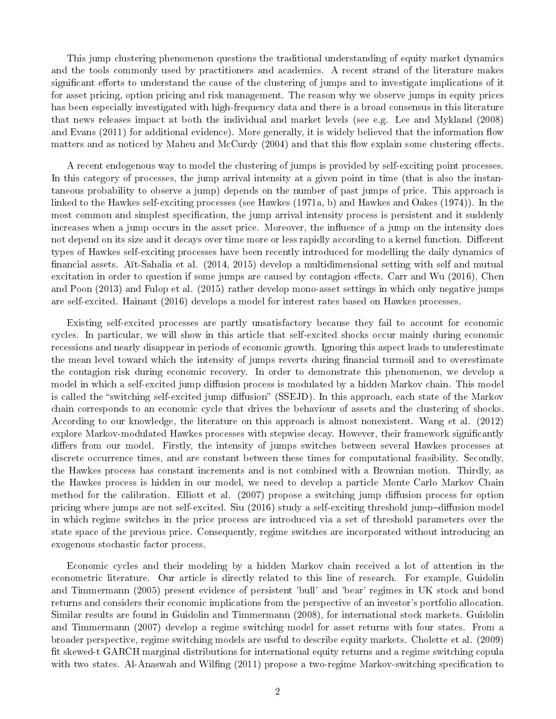This jump clustering phenomenon questions the traditional understanding of equity market dynamics and the tools commonly used by practitioners and academics. A recent strand of the literature makes significant efforts to understand the cause of the clustering of jumps and to investigate implications of it for asset pricing, option pricing and risk management. The reason why we observe jumps in equity prices has been especially investigated with high-frequency data and there is a broad consensus in this literature that news releases impact at both the individual and market levels (see e.g. Lee and Mykland (2008) and Evans (2011) for additional evidence). More generally, it is widely believed that the information flow matters and as noticed by Maheu and McCurdy (2004) and that this flow explain some clustering effects.

A recent endogenous way to model the clustering of jumps is provided by self-exciting point processes. In this category of processes, the jump arrival intensity at a given point in time (that is also the instantaneous probability to observe a jump) depends on the number of past jumps of price. This approach is linked to the Hawkes self-exciting processes (see Hawkes (1971a, b) and Hawkes and Oakes (1974)). In the most common and simplest specification, the jump arrival intensity process is persistent and it suddenly increases when a jump occurs in the asset price. Moreover, the influence of a jump on the intensity does not depend on its size and it decays over time more or less rapidly according to a kernel function. Different types of Hawkes self-exciting processes have been recently introduced for modelling the daily dynamics of nancial assets. Aït-Sahalia et al. (2014, 2015) develop a multidimensional setting with self and mutual excitation in order to question if some jumps are caused by contagion effects. Carr and Wu (2016), Chen and Poon (2013) and Fulop et al. (2015) rather develop mono-asset settings in which only negative jumps are self-excited. Hainaut (2016) develops a model for interest rates based on Hawkes processes.

Existing self-excited processes are partly unsatisfactory because they fail to account for economic cycles. In particular, we will show in this article that self-excited shocks occur mainly during economic recessions and nearly disappear in periods of economic growth. Ignoring this aspect leads to underestimate the mean level toward which the intensity of jumps reverts during financial turmoil and to overestimate the contagion risk during economic recovery. In order to demonstrate this phenomenon, we develop a model in which a self-excited jump diffusion process is modulated by a hidden Markov chain. This model is called the "switching self-excited jump diffusion" (SSEJD). In this approach, each state of the Markov chain corresponds to an economic cycle that drives the behaviour of assets and the clustering of shocks. According to our knowledge, the literature on this approach is almost nonexistent. Wang et al. (2012) explore Markov-modulated Hawkes processes with stepwise decay. However, their framework significantly differs from our model. Firstly, the intensity of jumps switches between several Hawkes processes at discrete occurrence times, and are constant between these times for computational feasibility. Secondly, the Hawkes process has constant increments and is not combined with a Brownian motion. Thirdly, as the Hawkes process is hidden in our model, we need to develop a particle Monte Carlo Markov Chain method for the calibration. Elliott et al. (2007) propose a switching jump diffusion process for option pricing where jumps are not self-excited. Siu (2016) study a self-exciting threshold jump-diffusion model in which regime switches in the price process are introduced via a set of threshold parameters over the state space of the previous price. Consequently, regime switches are incorporated without introducing an exogenous stochastic factor process.

Economic cycles and their modeling by a hidden Markov chain received a lot of attention in the econometric literature. Our article is directly related to this line of research. For example, Guidolin and Timmermann (2005) present evidence of persistent 'bull' and 'bear' regimes in UK stock and bond returns and considers their economic implications from the perspective of an investor's portfolio allocation. Similar results are found in Guidolin and Timmermann (2008), for international stock markets. Guidolin and Timmermann (2007) develop a regime switching model for asset returns with four states. From a broader perspective, regime switching models are useful to describe equity markets. Cholette et al. (2009) fit skewed-t GARCH marginal distributions for international equity returns and a regime switching copula with two states. Al-Anaswah and Wilfing (2011) propose a two-regime Markov-switching specification to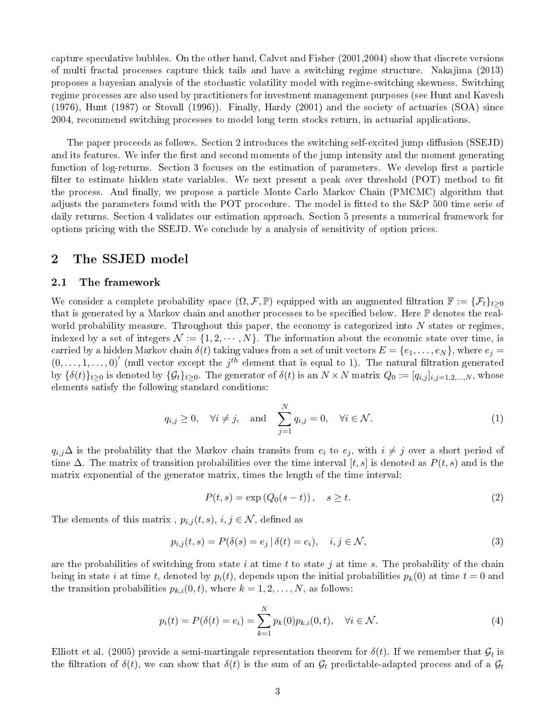capture speculative bubbles. On the other hand, Calvet and Fisher (2001,2004) show that discrete versions of multi fractal processes capture thick tails and have a switching regime structure. Nakajima (2013) proposes a bayesian analysis of the stochastic volatility model with regime-switching skewness. Switching regime processes are also used by practitioners for investment management purposes (see Hunt and Kavesh (1976), Hunt (1987) or Stovall (1996)). Finally, Hardy (2001) and the society of actuaries (SOA) since 2004, recommend switching processes to model long term stocks return, in actuarial applications.

The paper proceeds as follows. Section 2 introduces the switching self-excited jump diffusion (SSEJD) and its features. We infer the first and second moments of the jump intensity and the moment generating function of log-returns. Section 3 focuses on the estimation of parameters. We develop first a particle filter to estimate hidden state variables. We next present a peak over threshold (POT) method to fit the process. And finally, we propose a particle Monte Carlo Markov Chain (PMCMC) algorithm that adjusts the parameters found with the POT procedure. The model is fitted to the S&P 500 time serie of daily returns. Section 4 validates our estimation approach. Section 5 presents a numerical framework for options pricing with the SSEJD. We conclude by a analysis of sensitivity of option prices.

## 2 The SSJED model

#### 2.1 The framework

We consider a complete probability space  $(\Omega, \mathcal{F}, \mathbb{P})$  equipped with an augmented filtration  $\mathbb{F} := {\{\mathcal{F}_t\}}_{t\geq0}$ that is generated by a Markov chain and another processes to be specified below. Here  $\mathbb P$  denotes the realworld probability measure. Throughout this paper, the economy is categorized into  $N$  states or regimes, indexed by a set of integers  $\mathcal{N} := \{1, 2, \cdots, N\}$ . The information about the economic state over time, is carried by a hidden Markov chain  $\delta(t)$  taking values from a set of unit vectors  $E = \{e_1, \ldots, e_N\}$ , where  $e_i =$  $(0,\ldots,1,\ldots,0)'$  (null vector except the j<sup>th</sup> element that is equal to 1). The natural filtration generated by  ${\{\delta(t)\}}_{t>0}$  is denoted by  ${\{\mathcal{G}_t\}}_{t>0}$ . The generator of  $\delta(t)$  is an  $N \times N$  matrix  $Q_0 := [q_{i,j}]_{i,j=1,2,...,N}$ , whose elements satisfy the following standard conditions:

$$
q_{i,j} \ge 0
$$
,  $\forall i \ne j$ , and  $\sum_{j=1}^{N} q_{i,j} = 0$ ,  $\forall i \in \mathcal{N}$ . (1)

 $q_{i,j}\Delta$  is the probability that the Markov chain transits from  $e_i$  to  $e_j$ , with  $i \neq j$  over a short period of time  $\Delta$ . The matrix of transition probabilities over the time interval [t, s] is denoted as  $P(t, s)$  and is the matrix exponential of the generator matrix, times the length of the time interval:

$$
P(t,s) = \exp(Q_0(s-t)), \quad s \ge t. \tag{2}
$$

The elements of this matrix,  $p_{i,j}(t, s)$ ,  $i, j \in \mathcal{N}$ , defined as

$$
p_{i,j}(t,s) = P(\delta(s) = e_j \mid \delta(t) = e_i), \quad i, j \in \mathcal{N},
$$
\n(3)

are the probabilities of switching from state i at time t to state j at time s. The probability of the chain being in state i at time t, denoted by  $p_i(t)$ , depends upon the initial probabilities  $p_k(0)$  at time  $t = 0$  and the transition probabilities  $p_{k,i}(0,t)$ , where  $k = 1, 2, ..., N$ , as follows:

$$
p_i(t) = P(\delta(t) = e_i) = \sum_{k=1}^{N} p_k(0) p_{k,i}(0, t), \quad \forall i \in \mathcal{N}.
$$
\n(4)

Elliott et al. (2005) provide a semi-martingale representation theorem for  $\delta(t)$ . If we remember that  $\mathcal{G}_t$  is the filtration of  $\delta(t)$ , we can show that  $\delta(t)$  is the sum of an  $\mathcal{G}_t$  predictable-adapted process and of a  $\mathcal{G}_t$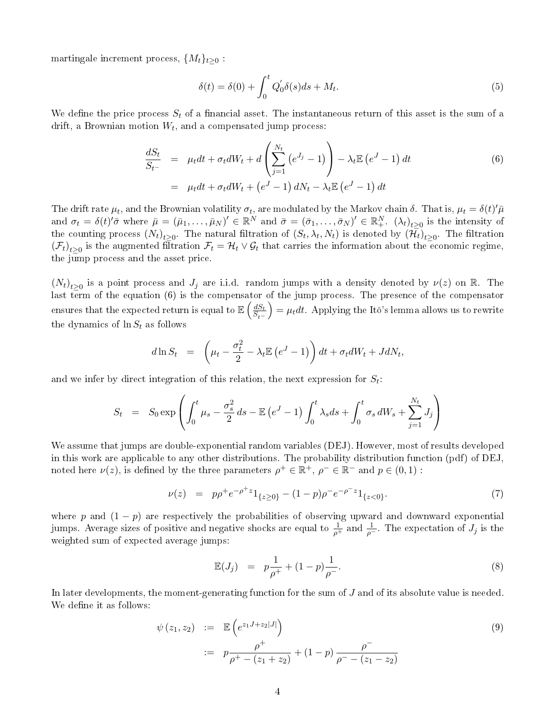martingale increment process,  $\{M_t\}_{t>0}$ :

$$
\delta(t) = \delta(0) + \int_0^t Q'_0 \delta(s) ds + M_t.
$$
\n(5)

We define the price process  $S_t$  of a financial asset. The instantaneous return of this asset is the sum of a drift, a Brownian motion  $W_t$ , and a compensated jump process:

$$
\frac{dS_t}{S_{t-}} = \mu_t dt + \sigma_t dW_t + d \left( \sum_{j=1}^{N_t} (e^{J_j} - 1) \right) - \lambda_t \mathbb{E} (e^{J} - 1) dt
$$
\n
$$
= \mu_t dt + \sigma_t dW_t + (e^{J} - 1) dN_t - \lambda_t \mathbb{E} (e^{J} - 1) dt
$$
\n(6)

The drift rate  $\mu_t$ , and the Brownian volatility  $\sigma_t$ , are modulated by the Markov chain  $\delta$ . That is,  $\mu_t = \delta(t)'\bar{\mu}$ and  $\sigma_t = \delta(t)'\bar{\sigma}$  where  $\bar{\mu} = (\bar{\mu}_1, \ldots, \bar{\mu}_N)' \in \mathbb{R}^N$  and  $\bar{\sigma} = (\bar{\sigma}_1, \ldots, \bar{\sigma}_N)' \in \mathbb{R}^N_+$ .  $(\lambda_t)_{t \geq 0}$  is the intensity of the counting process  $(N_t)_{t\geq 0}$ . The natural filtration of  $(S_t, \lambda_t, N_t)$  is denoted by  $(\mathcal{H}_t)_{t\geq 0}$ . The filtration  $(\mathcal{F}_t)_{t\geq0}$  is the augmented filtration  $\mathcal{F}_t=\mathcal{H}_t\vee\mathcal{G}_t$  that carries the information about the economic regime, the jump process and the asset price.

 $(N_t)_{t\geq 0}$  is a point process and  $J_j$  are i.i.d. random jumps with a density denoted by  $\nu(z)$  on R. The last term of the equation (6) is the compensator of the jump process. The presence of the compensator ensures that the expected return is equal to  $\mathbb{E}\left(\frac{dS_t}{S}\right)$  $S_{t-}$  $=\mu_t dt$ . Applying the Itô's lemma allows us to rewrite the dynamics of  $\ln S_t$  as follows

$$
d\ln S_t = \left(\mu_t - \frac{\sigma_t^2}{2} - \lambda_t \mathbb{E}\left(e^J - 1\right)\right)dt + \sigma_t dW_t + JdN_t,
$$

and we infer by direct integration of this relation, the next expression for  $S_t$ :

$$
S_t = S_0 \exp\left(\int_0^t \mu_s - \frac{\sigma_s^2}{2} ds - \mathbb{E}\left(e^J - 1\right) \int_0^t \lambda_s ds + \int_0^t \sigma_s dW_s + \sum_{j=1}^{N_t} J_j\right)
$$

We assume that jumps are double-exponential random variables (DEJ). However, most of results developed in this work are applicable to any other distributions. The probability distribution function (pdf) of DEJ, noted here  $\nu(z)$ , is defined by the three parameters  $\rho^+ \in \mathbb{R}^+$ ,  $\rho^- \in \mathbb{R}^-$  and  $p \in (0,1)$ :

$$
\nu(z) = p\rho^+ e^{-\rho^+ z} 1_{\{z \ge 0\}} - (1 - p)\rho^- e^{-\rho^- z} 1_{\{z < 0\}}.\tag{7}
$$

where p and  $(1 - p)$  are respectively the probabilities of observing upward and downward exponential jumps. Average sizes of positive and negative shocks are equal to  $\frac{1}{\rho^+}$  and  $\frac{1}{\rho^-}$ . The expectation of  $J_j$  is the weighted sum of expected average jumps:

$$
\mathbb{E}(J_j) = p\frac{1}{\rho^+} + (1-p)\frac{1}{\rho^-}.
$$
\n(8)

In later developments, the moment-generating function for the sum of  $J$  and of its absolute value is needed. We define it as follows:

$$
\psi(z_1, z_2) := \mathbb{E}\left(e^{z_1 J + z_2 |J|}\right)
$$
  
 :=  $p \frac{\rho^+}{\rho^+ - (z_1 + z_2)} + (1 - p) \frac{\rho^-}{\rho^- - (z_1 - z_2)}$  (9)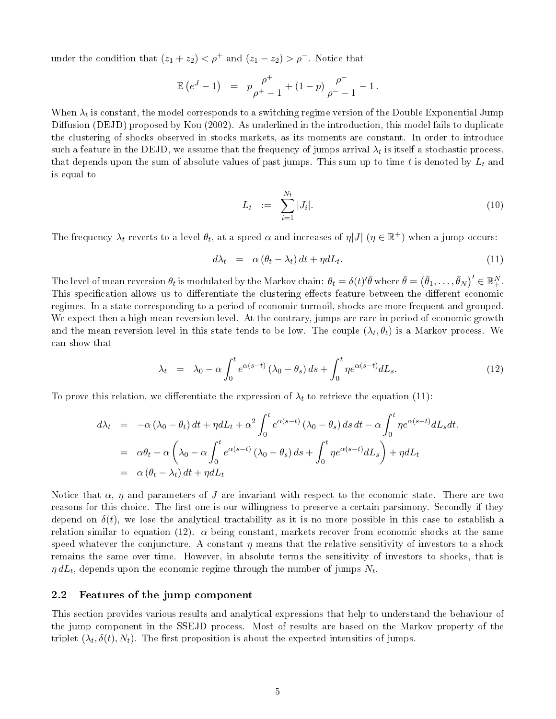under the condition that  $(z_1 + z_2) < \rho^+$  and  $(z_1 - z_2) > \rho^-$ . Notice that

$$
\mathbb{E}\left(e^J-1\right) = p\frac{\rho^+}{\rho^+-1} + (1-p)\frac{\rho^-}{\rho^--1} - 1\,.
$$

When  $\lambda_t$  is constant, the model corresponds to a switching regime version of the Double Exponential Jump Diffusion (DEJD) proposed by Kou (2002). As underlined in the introduction, this model fails to duplicate the clustering of shocks observed in stocks markets, as its moments are constant. In order to introduce such a feature in the DEJD, we assume that the frequency of jumps arrival  $\lambda_t$  is itself a stochastic process, that depends upon the sum of absolute values of past jumps. This sum up to time t is denoted by  $L_t$  and is equal to

$$
L_t := \sum_{i=1}^{N_t} |J_i|.
$$
 (10)

The frequency  $\lambda_t$  reverts to a level  $\theta_t$ , at a speed  $\alpha$  and increases of  $\eta|J|$   $(\eta \in \mathbb{R}^+)$  when a jump occurs:

$$
d\lambda_t = \alpha \left( \theta_t - \lambda_t \right) dt + \eta dL_t. \tag{11}
$$

The level of mean reversion  $\theta_t$  is modulated by the Markov chain:  $\theta_t = \delta(t)'\bar{\theta}$  where  $\bar{\theta} = \left(\bar{\theta}_1, \ldots, \bar{\theta}_N\right)' \in \mathbb{R}^N_+.$ This specification allows us to differentiate the clustering effects feature between the different economic regimes. In a state corresponding to a period of economic turmoil, shocks are more frequent and grouped. We expect then a high mean reversion level. At the contrary, jumps are rare in period of economic growth and the mean reversion level in this state tends to be low. The couple  $(\lambda_t,\theta_t)$  is a Markov process. We can show that

$$
\lambda_t = \lambda_0 - \alpha \int_0^t e^{\alpha(s-t)} (\lambda_0 - \theta_s) ds + \int_0^t \eta e^{\alpha(s-t)} dL_s. \tag{12}
$$

To prove this relation, we differentiate the expression of  $\lambda_t$  to retrieve the equation (11):

$$
d\lambda_t = -\alpha (\lambda_0 - \theta_t) dt + \eta dL_t + \alpha^2 \int_0^t e^{\alpha(s-t)} (\lambda_0 - \theta_s) ds dt - \alpha \int_0^t \eta e^{\alpha(s-t)} dL_s dt.
$$
  
=  $\alpha \theta_t - \alpha \left( \lambda_0 - \alpha \int_0^t e^{\alpha(s-t)} (\lambda_0 - \theta_s) ds + \int_0^t \eta e^{\alpha(s-t)} dL_s \right) + \eta dL_t$   
=  $\alpha (\theta_t - \lambda_t) dt + \eta dL_t$ 

Notice that  $\alpha$ ,  $\eta$  and parameters of J are invariant with respect to the economic state. There are two reasons for this choice. The first one is our willingness to preserve a certain parsimony. Secondly if they depend on  $\delta(t)$ , we lose the analytical tractability as it is no more possible in this case to establish a relation similar to equation (12).  $\alpha$  being constant, markets recover from economic shocks at the same speed whatever the conjuncture. A constant  $\eta$  means that the relative sensitivity of investors to a shock remains the same over time. However, in absolute terms the sensitivity of investors to shocks, that is  $\eta\,dL_t,$  depends upon the economic regime through the number of jumps  $N_t.$ 

#### 2.2 Features of the jump component

This section provides various results and analytical expressions that help to understand the behaviour of the jump component in the SSEJD process. Most of results are based on the Markov property of the triplet  $(\lambda_t, \delta(t), N_t)$ . The first proposition is about the expected intensities of jumps.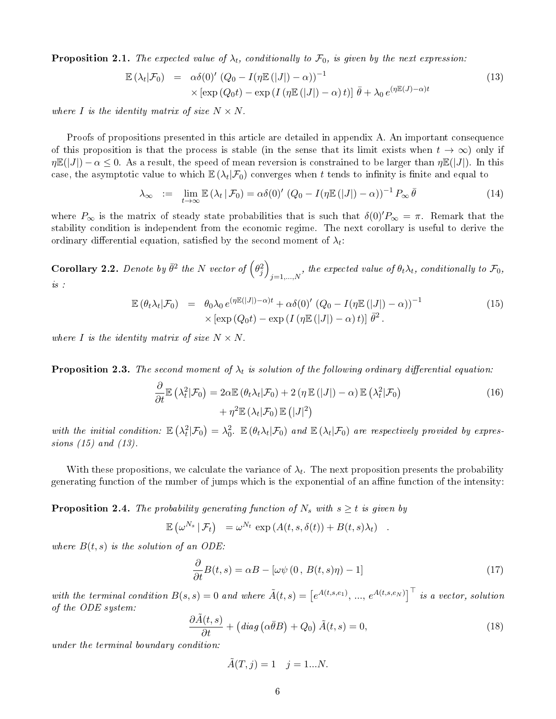**Proposition 2.1.** The expected value of  $\lambda_t$ , conditionally to  $\mathcal{F}_0$ , is given by the next expression:

$$
\mathbb{E}(\lambda_t|\mathcal{F}_0) = \alpha\delta(0)' (Q_0 - I(\eta \mathbb{E}(|J|) - \alpha))^{-1}
$$
  
 
$$
\times [\exp(Q_0 t) - \exp(I(\eta \mathbb{E}(|J|) - \alpha) t)] \bar{\theta} + \lambda_0 e^{(\eta \mathbb{E}(J) - \alpha)t}
$$
 (13)

where I is the identity matrix of size  $N \times N$ .

Proofs of propositions presented in this article are detailed in appendix A. An important consequence of this proposition is that the process is stable (in the sense that its limit exists when  $t \to \infty$ ) only if  $\eta \mathbb{E}(|J|) - \alpha \leq 0$ . As a result, the speed of mean reversion is constrained to be larger than  $\eta \mathbb{E}(|J|)$ . In this case, the asymptotic value to which  $\mathbb{E}(\lambda_t|\mathcal{F}_0)$  converges when  $t$  tends to infinity is finite and equal to

$$
\lambda_{\infty} := \lim_{t \to \infty} \mathbb{E} \left( \lambda_t \, | \, \mathcal{F}_0 \right) = \alpha \delta(0) \left( Q_0 - I(\eta \mathbb{E} \left( |J| \right) - \alpha) \right)^{-1} P_{\infty} \, \bar{\theta} \tag{14}
$$

where  $P_{\infty}$  is the matrix of steady state probabilities that is such that  $\delta(0)^{\prime}P_{\infty} = \pi$ . Remark that the stability condition is independent from the economic regime. The next corollary is useful to derive the ordinary differential equation, satisfied by the second moment of  $\lambda_t$ :

**Corollary 2.2.** Denote by  $\bar{\theta}^2$  the N vector of  $(\theta_j^2)$  $j=1,...,N$ , the expected value of  $\theta_t \lambda_t$ , conditionally to  $\mathcal{F}_0$ ,  $is\;$  :

$$
\mathbb{E}(\theta_t \lambda_t | \mathcal{F}_0) = \theta_0 \lambda_0 e^{(\eta \mathbb{E}(|J|) - \alpha)t} + \alpha \delta(0)' (Q_0 - I(\eta \mathbb{E}(|J|) - \alpha))^{-1}
$$
  
 
$$
\times [\exp(Q_0 t) - \exp(I(\eta \mathbb{E}(|J|) - \alpha)t)] \bar{\theta}^2.
$$
 (15)

where I is the identity matrix of size  $N \times N$ .

**Proposition 2.3.** The second moment of  $\lambda_t$  is solution of the following ordinary differential equation:

$$
\frac{\partial}{\partial t} \mathbb{E} \left( \lambda_t^2 | \mathcal{F}_0 \right) = 2\alpha \mathbb{E} \left( \theta_t \lambda_t | \mathcal{F}_0 \right) + 2 \left( \eta \mathbb{E} \left( |J| \right) - \alpha \right) \mathbb{E} \left( \lambda_t^2 | \mathcal{F}_0 \right) + \eta^2 \mathbb{E} \left( \lambda_t | \mathcal{F}_0 \right) \mathbb{E} \left( |J|^2 \right)
$$
\n(16)

with the initial condition:  $\mathbb{E} \left( \lambda_t^2 | \mathcal{F}_0 \right) = \lambda_0^2$ .  $\mathbb{E} \left( \theta_t \lambda_t | \mathcal{F}_0 \right)$  and  $\mathbb{E} \left( \lambda_t | \mathcal{F}_0 \right)$  are respectively provided by expressions (15) and (13).

With these propositions, we calculate the variance of  $\lambda_t$ . The next proposition presents the probability generating function of the number of jumps which is the exponential of an affine function of the intensity:

**Proposition 2.4.** The probability generating function of  $N_s$  with  $s \geq t$  is given by

$$
\mathbb{E}(\omega^{N_s}|\mathcal{F}_t) = \omega^{N_t} \exp(A(t,s,\delta(t)) + B(t,s)\lambda_t) .
$$

where  $B(t, s)$  is the solution of an ODE:

$$
\frac{\partial}{\partial t}B(t,s) = \alpha B - [\omega \psi (0, B(t,s)\eta) - 1]
$$
\n(17)

with the terminal condition  $B(s,s) = 0$  and where  $\tilde{A}(t,s) = \left[e^{A(t,s,e_1)}, ..., e^{A(t,s,e_N)}\right]^\top$  is a vector, solution of the ODE system:

$$
\frac{\partial \tilde{A}(t,s)}{\partial t} + \left(\text{diag}\left(\alpha \bar{\theta} B\right) + Q_0\right) \tilde{A}(t,s) = 0,\tag{18}
$$

under the terminal boundary condition:

$$
\tilde{A}(T,j) = 1 \quad j = 1...N.
$$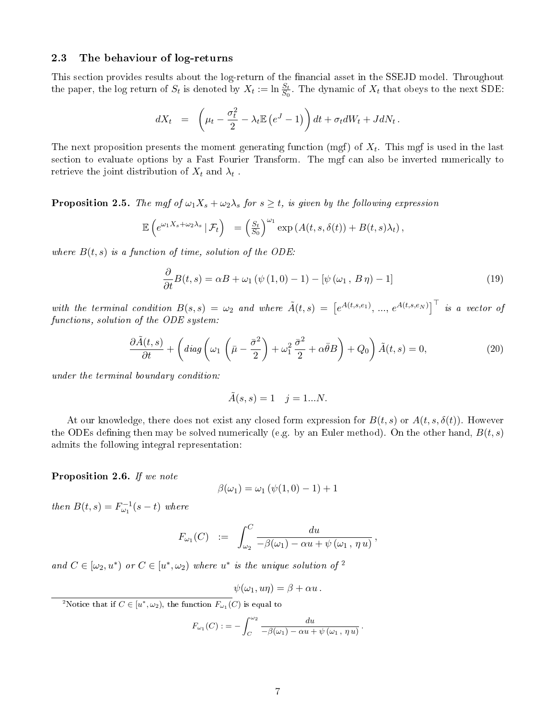#### 2.3 The behaviour of log-returns

This section provides results about the log-return of the financial asset in the SSEJD model. Throughout the paper, the log return of  $S_t$  is denoted by  $X_t := \ln \frac{S_t}{S_0}$ . The dynamic of  $X_t$  that obeys to the next SDE:

$$
dX_t = \left(\mu_t - \frac{\sigma_t^2}{2} - \lambda_t \mathbb{E}\left(e^J - 1\right)\right)dt + \sigma_t dW_t + JdN_t.
$$

The next proposition presents the moment generating function (mgf) of  $X_t$ . This mgf is used in the last section to evaluate options by a Fast Fourier Transform. The mgf can also be inverted numerically to retrieve the joint distribution of  $X_t$  and  $\lambda_t$  .

**Proposition 2.5.** The mgf of  $\omega_1 X_s + \omega_2 \lambda_s$  for  $s \geq t$ , is given by the following expression

$$
\mathbb{E}\left(e^{\omega_1 X_s + \omega_2 \lambda_s} \,|\,\mathcal{F}_t\right) = \left(\frac{S_t}{S_0}\right)^{\omega_1} \exp\left(A(t,s,\delta(t)) + B(t,s)\lambda_t\right),
$$

where  $B(t, s)$  is a function of time, solution of the ODE:

$$
\frac{\partial}{\partial t}B(t,s) = \alpha B + \omega_1 \left( \psi \left( 1, 0 \right) - 1 \right) - \left[ \psi \left( \omega_1, B \eta \right) - 1 \right] \tag{19}
$$

with the terminal condition  $B(s,s) = \omega_2$  and where  $\tilde{A}(t,s) = \left[e^{A(t,s,e_1)}, ..., e^{A(t,s,e_N)}\right]^\top$  is a vector of functions, solution of the ODE system:

$$
\frac{\partial \tilde{A}(t,s)}{\partial t} + \left( diag \left( \omega_1 \left( \bar{\mu} - \frac{\bar{\sigma}^2}{2} \right) + \omega_1^2 \frac{\bar{\sigma}^2}{2} + \alpha \bar{\theta} B \right) + Q_0 \right) \tilde{A}(t,s) = 0, \tag{20}
$$

under the terminal boundary condition:

$$
\tilde{A}(s,s) = 1 \quad j = 1...N.
$$

At our knowledge, there does not exist any closed form expression for  $B(t, s)$  or  $A(t, s, \delta(t))$ . However the ODEs defining then may be solved numerically (e.g. by an Euler method). On the other hand,  $B(t, s)$ admits the following integral representation:

Proposition 2.6. If we note

$$
\beta(\omega_1) = \omega_1 \left( \psi(1,0) - 1 \right) + 1
$$

then  $B(t, s) = F_{\omega_1}^{-1}(s - t)$  where

$$
F_{\omega_1}(C) \quad := \quad \int_{\omega_2}^C \frac{du}{-\beta(\omega_1) - \alpha u + \psi(\omega_1, \eta u)},
$$

and  $C \in [\omega_2, u^*)$  or  $C \in [u^*, \omega_2)$  where  $u^*$  is the unique solution of <sup>2</sup>

$$
\psi(\omega_1, u\eta) = \beta + \alpha u.
$$

<sup>2</sup>Notice that if  $C \in [u^*, \omega_2)$ , the function  $F_{\omega_1}(C)$  is equal to

$$
F_{\omega_1}(C) := -\int_C^{\omega_2} \frac{du}{-\beta(\omega_1) - \alpha u + \psi(\omega_1, \eta u)}.
$$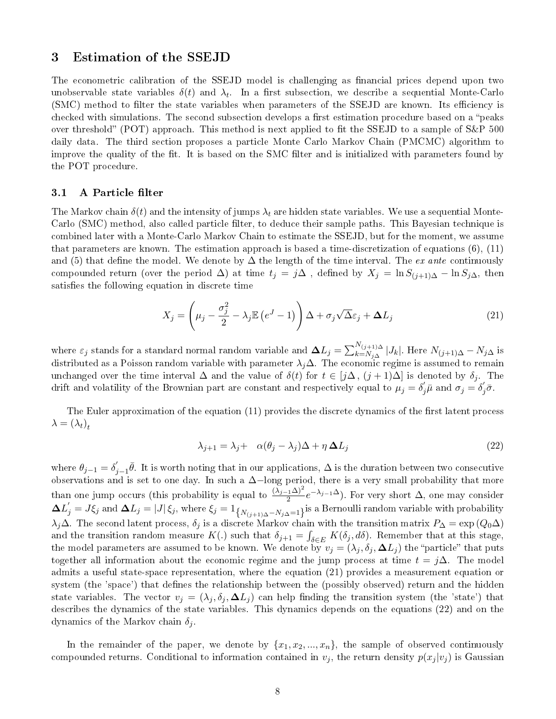### 3 Estimation of the SSEJD

The econometric calibration of the SSEJD model is challenging as financial prices depend upon two unobservable state variables  $\delta(t)$  and  $\lambda_t$ . In a first subsection, we describe a sequential Monte-Carlo (SMC) method to filter the state variables when parameters of the SSEJD are known. Its efficiency is checked with simulations. The second subsection develops a first estimation procedure based on a "peaks" over threshold" (POT) approach. This method is next applied to fit the SSEJD to a sample of  $S\&P$  500 daily data. The third section proposes a particle Monte Carlo Markov Chain (PMCMC) algorithm to improve the quality of the fit. It is based on the SMC filter and is initialized with parameters found by the POT procedure.

#### 3.1 A Particle filter

The Markov chain  $\delta(t)$  and the intensity of jumps  $\lambda_t$  are hidden state variables. We use a sequential Monte-Carlo (SMC) method, also called particle filter, to deduce their sample paths. This Bayesian technique is combined later with a Monte-Carlo Markov Chain to estimate the SSEJD, but for the moment, we assume that parameters are known. The estimation approach is based a time-discretization of equations (6), (11) and (5) that define the model. We denote by  $\Delta$  the length of the time interval. The ex ante continuously compounded return (over the period  $\Delta$ ) at time  $t_j = j\Delta$ , defined by  $X_j = \ln S_{(j+1)\Delta} - \ln S_{j\Delta}$ , then satisfies the following equation in discrete time

$$
X_j = \left(\mu_j - \frac{\sigma_j^2}{2} - \lambda_j \mathbb{E}\left(e^J - 1\right)\right) \Delta + \sigma_j \sqrt{\Delta} \varepsilon_j + \Delta L_j \tag{21}
$$

where  $\varepsilon_j$  stands for a standard normal random variable and  $\bm{\Delta} L_j = \sum_{k=N_{j\Delta}}^{N_{(j+1)\Delta}} |J_k|$ . Here  $N_{(j+1)\Delta}-N_{j\Delta}$  is distributed as a Poisson random variable with parameter  $\lambda_j\Delta$ . The economic regime is assumed to remain unchanged over the time interval  $\Delta$  and the value of  $\delta(t)$  for  $t \in [j\Delta, (j+1)\Delta]$  is denoted by  $\delta_j$ . The drift and volatility of the Brownian part are constant and respectively equal to  $\mu_j = \delta'_j \bar{\mu}$  and  $\sigma_j = \delta'_j \bar{\sigma}$ .

The Euler approximation of the equation (11) provides the discrete dynamics of the first latent process  $\lambda = (\lambda_t)_t$ 

$$
\lambda_{j+1} = \lambda_j + \alpha(\theta_j - \lambda_j)\Delta + \eta \Delta L_j \tag{22}
$$

where  $\theta_{j-1} = \delta_j'$  $j_{j-1}$  $\bar{\theta}$ . It is worth noting that in our applications,  $\Delta$  is the duration between two consecutive observations and is set to one day. In such a ∆−long period, there is a very small probability that more than one jump occurs (this probability is equal to  $\frac{(\lambda_{j-1}\Delta)^2}{2}e^{-\lambda_{j-1}\Delta}$ ). For very short  $\Delta$ , one may consider  $\Delta L_j'=J\xi_j$  and  $\Delta L_j=|J|\xi_j,$  where  $\xi_j=1_{\left\{N_{(j+1)\Delta}-N_{j\Delta}=1\right\}}$  is a Bernoulli random variable with probability λ<sub>j</sub>∆. The second latent process,  $\delta_j$  is a discrete Markov chain with the transition matrix  $P_\Delta = \exp(Q_0\Delta)$ and the transition random measure  $K(.)$  such that  $\delta_{j+1} = \int_{\delta \in E} K(\delta_j, d\delta)$ . Remember that at this stage, the model parameters are assumed to be known. We denote by  $v_j = (\lambda_j, \delta_j, \Delta L_j)$  the "particle" that puts together all information about the economic regime and the jump process at time  $t = i\Delta$ . The model admits a useful state-space representation, where the equation (21) provides a measurement equation or system (the 'space') that defines the relationship between the (possibly observed) return and the hidden state variables. The vector  $v_j = (\lambda_j, \delta_j, \Delta L_j)$  can help finding the transition system (the 'state') that describes the dynamics of the state variables. This dynamics depends on the equations (22) and on the dynamics of the Markov chain  $\delta_i$ .

In the remainder of the paper, we denote by  $\{x_1, x_2, ..., x_n\}$ , the sample of observed continuously compounded returns. Conditional to information contained in  $v_j$ , the return density  $p(x_j | v_j)$  is Gaussian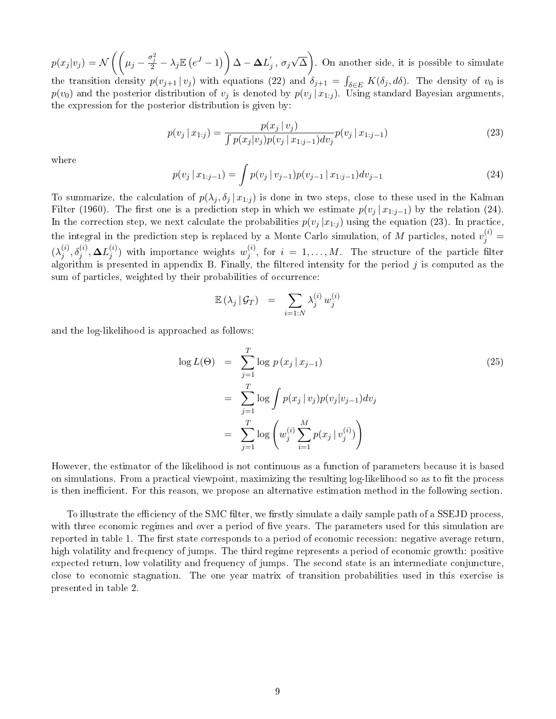$p(x_j | v_j) = \mathcal{N}\left(\left(\mu_j - \frac{\sigma_j^2}{2} - \lambda_j \mathbb{E}\left(e^J - 1\right)\right)\Delta - \bm{\Delta} L_j' \right)$  $_{j}^{'},\,\sigma_{j}$ √  $\overline{\Delta}$  ). On another side, it is possible to simulate the transition density  $p(v_{j+1} | v_j)$  with equations (22) and  $\delta_{j+1} = \int_{\delta \in E} K(\delta_j, d\delta)$ . The density of  $v_0$  is  $p(v_0)$  and the posterior distribution of  $v_j$  is denoted by  $p(v_j \,|\, x_{1:j})$ . Using standard Bayesian arguments, the expression for the posterior distribution is given by:

$$
p(v_j \mid x_{1:j}) = \frac{p(x_j \mid v_j)}{\int p(x_j \mid v_j)p(v_j \mid x_{1:j-1}) dv_j} p(v_j \mid x_{1:j-1})
$$
\n(23)

where

$$
p(v_j \mid x_{1:j-1}) = \int p(v_j \mid v_{j-1}) p(v_{j-1} \mid x_{1:j-1}) dv_{j-1}
$$
\n(24)

To summarize, the calculation of  $p(\lambda_j, \delta_j | x_{1:j})$  is done in two steps, close to these used in the Kalman Filter (1960). The first one is a prediction step in which we estimate  $p(v_j | x_{1:j-1})$  by the relation (24). In the correction step, we next calculate the probabilities  $p(v_j | x_{1:j})$  using the equation (23). In practice, the integral in the prediction step is replaced by a Monte Carlo simulation, of M particles, noted  $v_j^{(i)} =$  $(\lambda_i^{(i)}$  $j^{(i)}, \delta_j^{(i)}, \mathbf{\Delta} L_j^{(i)}$  $\binom{(i)}{j}$  with importance weights  $w_j^{(i)}$  $j^{(i)}$ , for  $i = 1, \ldots, M$ . The structure of the particle filter algorithm is presented in appendix B. Finally, the filtered intensity for the period  $j$  is computed as the sum of particles, weighted by their probabilities of occurrence:

$$
\mathbb{E}(\lambda_j \,|\, \mathcal{G}_T) \quad = \quad \sum_{i=1:N} \lambda_j^{(i)} \, w_j^{(i)}
$$

and the log-likelihood is approached as follows:

$$
\log L(\Theta) = \sum_{j=1}^{T} \log p(x_j | x_{j-1})
$$
\n
$$
= \sum_{j=1}^{T} \log \int p(x_j | v_j) p(v_j | v_{j-1}) dv_j
$$
\n
$$
= \sum_{j=1}^{T} \log \left( w_j^{(i)} \sum_{i=1}^{M} p(x_j | v_j^{(i)}) \right)
$$
\n(25)

However, the estimator of the likelihood is not continuous as a function of parameters because it is based on simulations. From a practical viewpoint, maximizing the resulting log-likelihood so as to fit the process is then inefficient. For this reason, we propose an alternative estimation method in the following section.

To illustrate the efficiency of the SMC filter, we firstly simulate a daily sample path of a SSEJD process. with three economic regimes and over a period of five years. The parameters used for this simulation are reported in table 1. The first state corresponds to a period of economic recession: negative average return, high volatility and frequency of jumps. The third regime represents a period of economic growth: positive expected return, low volatility and frequency of jumps. The second state is an intermediate conjuncture, close to economic stagnation. The one year matrix of transition probabilities used in this exercise is presented in table 2.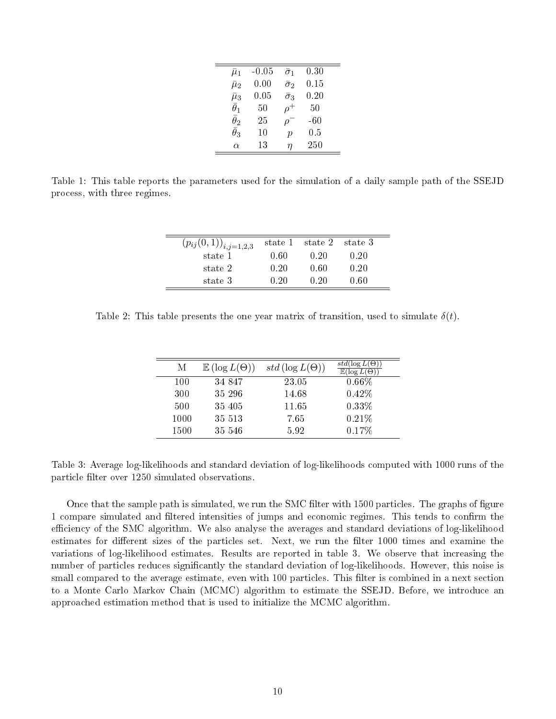| $\bar{\mu}_1$    | $-0.05$  | $\bar{\sigma}_1$ | 0.30   |
|------------------|----------|------------------|--------|
| $\bar{\mu}_2$    | $0.00\,$ | $\bar{\sigma}_2$ | 0.15   |
| $\bar{\mu}_3$    | $0.05\,$ | $\bar{\sigma}_3$ | 0.20   |
| $\bar{\theta}_1$ | 50       | $\rho^+$         | $50\,$ |
| $\bar{\theta}_2$ | 25       | $\varrho$        | $-60$  |
| $\bar{\theta}_3$ | 10       | $\mathcal{p}$    | 0.5    |
| $\alpha$         | 13       | η                | 250    |
|                  |          |                  |        |

Table 1: This table reports the parameters used for the simulation of a daily sample path of the SSEJD process, with three regimes.

| $(p_{ij}(0,1))_{i,j=1,2,3}$ | state 1 | state 2 | state 3 |
|-----------------------------|---------|---------|---------|
| state 1                     | 0.60    | 0.20    | 0.20    |
| state 2                     | 0.20    | 0 60    | 0.20    |
| state 3                     | 0.20    | O 20    | 0 60    |

Table 2: This table presents the one year matrix of transition, used to simulate  $\delta(t)$ .

| М    | $\mathbb{E}(\log L(\Theta))$ | $std(\log L(\Theta))$ | $std(\log L(\Theta))$<br>$\mathbb{E}(\log L(\Theta))$ |
|------|------------------------------|-----------------------|-------------------------------------------------------|
| 100  | 34 847                       | 23.05                 | $0.66\%$                                              |
| 300  | 35 296                       | 14.68                 | 0.42%                                                 |
| 500  | 35 405                       | 11.65                 | $0.33\%$                                              |
| 1000 | 35 513                       | 7.65                  | 0.21%                                                 |
| 1500 | 35 546                       | 5.92                  | 0.17%                                                 |

Table 3: Average log-likelihoods and standard deviation of log-likelihoods computed with 1000 runs of the particle filter over 1250 simulated observations.

Once that the sample path is simulated, we run the SMC filter with 1500 particles. The graphs of figure 1 compare simulated and filtered intensities of jumps and economic regimes. This tends to confirm the efficiency of the SMC algorithm. We also analyse the averages and standard deviations of log-likelihood estimates for different sizes of the particles set. Next, we run the filter 1000 times and examine the variations of log-likelihood estimates. Results are reported in table 3. We observe that increasing the number of particles reduces signicantly the standard deviation of log-likelihoods. However, this noise is small compared to the average estimate, even with 100 particles. This filter is combined in a next section to a Monte Carlo Markov Chain (MCMC) algorithm to estimate the SSEJD. Before, we introduce an approached estimation method that is used to initialize the MCMC algorithm.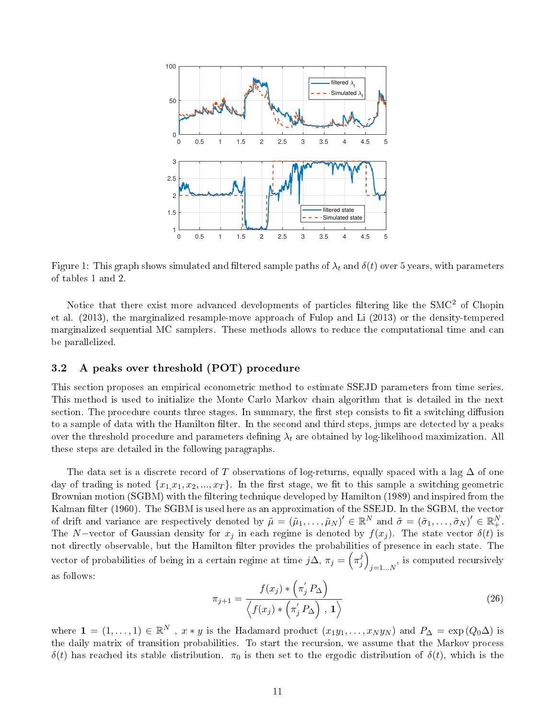

Figure 1: This graph shows simulated and filtered sample paths of  $\lambda_t$  and  $\delta(t)$  over 5 years, with parameters of tables 1 and 2.

Notice that there exist more advanced developments of particles filtering like the SMC<sup>2</sup> of Chopin et al. (2013), the marginalized resample-move approach of Fulop and Li (2013) or the density-tempered marginalized sequential MC samplers. These methods allows to reduce the computational time and can be parallelized.

#### 3.2 A peaks over threshold (POT) procedure

This section proposes an empirical econometric method to estimate SSEJD parameters from time series. This method is used to initialize the Monte Carlo Markov chain algorithm that is detailed in the next section. The procedure counts three stages. In summary, the first step consists to fit a switching diffusion to a sample of data with the Hamilton filter. In the second and third steps, jumps are detected by a peaks over the threshold procedure and parameters defining  $\lambda_t$  are obtained by log-likelihood maximization. All these steps are detailed in the following paragraphs.

The data set is a discrete record of T observations of log-returns, equally spaced with a lag  $\Delta$  of one day of trading is noted  $\{x_1, x_1, x_2, ..., x_T\}$ . In the first stage, we fit to this sample a switching geometric Brownian motion (SGBM) with the filtering technique developed by Hamilton (1989) and inspired from the Kalman filter (1960). The SGBM is used here as an approximation of the SSEJD. In the SGBM, the vector of drift and variance are respectively denoted by  $\tilde{\mu} = (\tilde{\mu}_1, \ldots, \tilde{\mu}_N)' \in \mathbb{R}^N$  and  $\tilde{\sigma} = (\tilde{\sigma}_1, \ldots, \tilde{\sigma}_N)' \in \mathbb{R}^N_+$ . The N–vector of Gaussian density for  $x_j$  in each regime is denoted by  $f(x_j)$ . The state vector  $\delta(t)$  is not directly observable, but the Hamilton filter provides the probabilities of presence in each state. The vector of probabilities of being in a certain regime at time  $j\Delta$ ,  $\pi_j = \left(\pi_j^j\right)$  $\binom{j}{j}$  $j=1...N$ , is computed recursively as follows:

$$
\pi_{j+1} = \frac{f(x_j) * \left(\pi'_j P_\Delta\right)}{\left\langle f(x_j) * \left(\pi'_j P_\Delta\right), \mathbf{1}\right\rangle} \tag{26}
$$

where  $\mathbf{1}=(1,\ldots,1)\in\mathbb{R}^N$  ,  $x*y$  is the Hadamard product  $(x_1y_1,\ldots,x_Ny_N)$  and  $P_{\Delta}=\exp{(Q_0\Delta)}$  is the daily matrix of transition probabilities. To start the recursion, we assume that the Markov process  $\delta(t)$  has reached its stable distribution.  $\pi_0$  is then set to the ergodic distribution of  $\delta(t)$ , which is the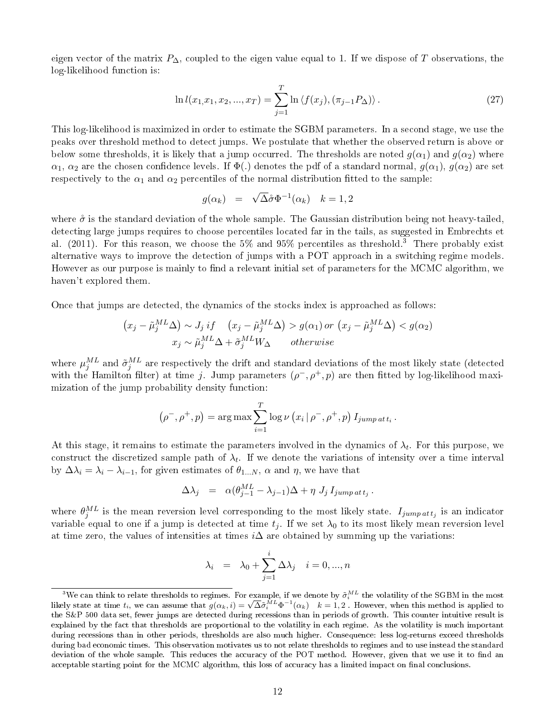eigen vector of the matrix  $P_{\Delta}$ , coupled to the eigen value equal to 1. If we dispose of T observations, the log-likelihood function is:

$$
\ln l(x_1, x_1, x_2, ..., x_T) = \sum_{j=1}^{T} \ln \langle f(x_j), (\pi_{j-1} P_{\Delta}) \rangle.
$$
 (27)

This log-likelihood is maximized in order to estimate the SGBM parameters. In a second stage, we use the peaks over threshold method to detect jumps. We postulate that whether the observed return is above or below some thresholds, it is likely that a jump occurred. The thresholds are noted  $g(\alpha_1)$  and  $g(\alpha_2)$  where  $\alpha_1, \alpha_2$  are the chosen confidence levels. If  $\Phi(.)$  denotes the pdf of a standard normal,  $g(\alpha_1), g(\alpha_2)$  are set respectively to the  $\alpha_1$  and  $\alpha_2$  percentiles of the normal distribution fitted to the sample:

$$
g(\alpha_k) = \sqrt{\Delta} \mathring{\sigma} \Phi^{-1}(\alpha_k) \quad k = 1, 2
$$

where  $\mathring{\sigma}$  is the standard deviation of the whole sample. The Gaussian distribution being not heavy-tailed, detecting large jumps requires to choose percentiles located far in the tails, as suggested in Embrechts et al. (2011). For this reason, we choose the 5% and 95% percentiles as threshold.<sup>3</sup> There probably exist alternative ways to improve the detection of jumps with a POT approach in a switching regime models. However as our purpose is mainly to find a relevant initial set of parameters for the MCMC algorithm, we haven't explored them.

Once that jumps are detected, the dynamics of the stocks index is approached as follows:

$$
(x_j - \tilde{\mu}_j^{ML}\Delta) \sim J_j \, if \quad (x_j - \tilde{\mu}_j^{ML}\Delta) > g(\alpha_1) \, or \, (x_j - \tilde{\mu}_j^{ML}\Delta) < g(\alpha_2)
$$

$$
x_j \sim \tilde{\mu}_j^{ML}\Delta + \tilde{\sigma}_j^{ML}W_{\Delta} \qquad otherwise
$$

where  $\mu_j^{ML}$  and  $\tilde{\sigma}_j^{ML}$  are respectively the drift and standard deviations of the most likely state (detected with the Hamilton filter) at time j. Jump parameters  $(\rho^-, \rho^+, p)$  are then fitted by log-likelihood maximization of the jump probability density function:

$$
(\rho^-, \rho^+, p) = \arg \max \sum_{i=1}^T \log \nu (x_i | \rho^-, \rho^+, p) I_{jump \, att_i}.
$$

At this stage, it remains to estimate the parameters involved in the dynamics of  $\lambda_t$ . For this purpose, we construct the discretized sample path of  $\lambda_t$ . If we denote the variations of intensity over a time interval by  $\Delta \lambda_i = \lambda_i - \lambda_{i-1}$ , for given estimates of  $\theta_{1...N}$ ,  $\alpha$  and  $\eta$ , we have that

$$
\Delta \lambda_j = \alpha (\theta_{j-1}^{ML} - \lambda_{j-1}) \Delta + \eta J_j I_{jump \, att_j}.
$$

where  $\theta_j^{ML}$  is the mean reversion level corresponding to the most likely state.  $I_{jump\,att_j}$  is an indicator variable equal to one if a jump is detected at time  $t_j$ . If we set  $\lambda_0$  to its most likely mean reversion level at time zero, the values of intensities at times  $i\Delta$  are obtained by summing up the variations:

$$
\lambda_i = \lambda_0 + \sum_{j=1}^i \Delta \lambda_j \quad i = 0, ..., n
$$

 $^3\rm{We}$  can think to relate thresholds to regimes. For example, if we denote by  $\tilde{\sigma}^{ML}_i$  the volatility of the SGBM in the most We can think to relate thresholds to regimes. For example, if we denote by  $\sigma_i$  the volatility of the SGBM in the most<br>likely state at time  $t_i$ , we can assume that  $g(\alpha_k, i) = \sqrt{\Delta} \tilde{\sigma}_i^{ML} \Phi^{-1}(\alpha_k)$   $k = 1, 2$ . However, the S&P 500 data set, fewer jumps are detected during recessions than in periods of growth. This counter intuitive result is explained by the fact that thresholds are proportional to the volatility in each regime. As the volatility is much important during recessions than in other periods, thresholds are also much higher. Consequence: less log-returns exceed thresholds during bad economic times. This observation motivates us to not relate thresholds to regimes and to use instead the standard deviation of the whole sample. This reduces the accuracy of the POT method. However, given that we use it to find an acceptable starting point for the MCMC algorithm, this loss of accuracy has a limited impact on final conclusions.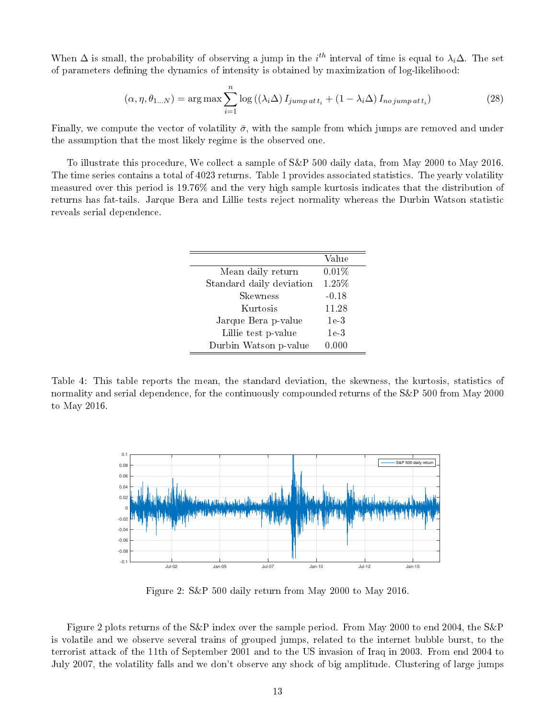When  $\Delta$  is small, the probability of observing a jump in the  $i^{th}$  interval of time is equal to  $\lambda_i\Delta$ . The set of parameters defining the dynamics of intensity is obtained by maximization of log-likelihood:

$$
(\alpha, \eta, \theta_{1...N}) = \arg \max \sum_{i=1}^{n} \log \left( (\lambda_i \Delta) I_{jump \, att_i} + (1 - \lambda_i \Delta) I_{no \, jump \, att_i} \right) \tag{28}
$$

Finally, we compute the vector of volatility  $\bar{\sigma}$ , with the sample from which jumps are removed and under the assumption that the most likely regime is the observed one.

To illustrate this procedure, We collect a sample of S&P 500 daily data, from May 2000 to May 2016. The time series contains a total of 4023 returns. Table 1 provides associated statistics. The yearly volatility measured over this period is 19.76% and the very high sample kurtosis indicates that the distribution of returns has fat-tails. Jarque Bera and Lillie tests reject normality whereas the Durbin Watson statistic reveals serial dependence.

|                          | Value           |
|--------------------------|-----------------|
| Mean daily return        | 0.01%           |
| Standard daily deviation | 1.25%           |
| Skewness                 | $-0.18$         |
| Kurtosis                 | 11.28           |
| Jarque Bera p-value      | 1e <sub>3</sub> |
| Lillie test p-value      | 1e <sub>3</sub> |
| Durbin Watson p-value    | 0.000           |

Table 4: This table reports the mean, the standard deviation, the skewness, the kurtosis, statistics of normality and serial dependence, for the continuously compounded returns of the S&P 500 from May 2000 to May 2016.



Figure 2: S&P 500 daily return from May 2000 to May 2016.

Figure 2 plots returns of the S&P index over the sample period. From May 2000 to end 2004, the S&P is volatile and we observe several trains of grouped jumps, related to the internet bubble burst, to the terrorist attack of the 11th of September 2001 and to the US invasion of Iraq in 2003. From end 2004 to July 2007, the volatility falls and we don't observe any shock of big amplitude. Clustering of large jumps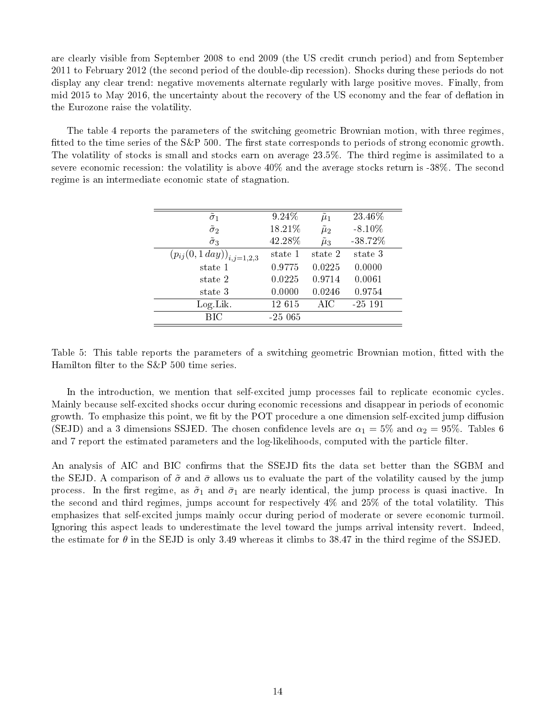are clearly visible from September 2008 to end 2009 (the US credit crunch period) and from September 2011 to February 2012 (the second period of the double-dip recession). Shocks during these periods do not display any clear trend: negative movements alternate regularly with large positive moves. Finally, from mid 2015 to May 2016, the uncertainty about the recovery of the US economy and the fear of deflation in the Eurozone raise the volatility.

The table 4 reports the parameters of the switching geometric Brownian motion, with three regimes, fitted to the time series of the  $S\&P$  500. The first state corresponds to periods of strong economic growth. The volatility of stocks is small and stocks earn on average 23.5%. The third regime is assimilated to a severe economic recession: the volatility is above 40% and the average stocks return is -38%. The second regime is an intermediate economic state of stagnation.

| $\tilde{\sigma}_1$               | 9.24%    | $\mu_1$         | 23.46%     |
|----------------------------------|----------|-----------------|------------|
| $\tilde{\sigma}_2$               | 18.21%   | $\tilde{\mu}_2$ | $-8.10\%$  |
| $\tilde{\sigma}_3$               | 42.28%   | $\tilde{\mu}_3$ | $-38.72\%$ |
| $(p_{ij}(0,1\,day))_{i,j=1,2,3}$ | state 1  | state 2         | state 3    |
| state 1                          | 0.9775   | 0.0225          | 0.0000     |
| state 2                          | 0.0225   | 0.9714          | 0.0061     |
| state 3                          | 0.0000   | 0.0246          | 0.9754     |
| $Log$ Lik.                       | 12 615   | AIC             | $-25$ 191  |
| BІC                              | $-25065$ |                 |            |
|                                  |          |                 |            |

Table 5: This table reports the parameters of a switching geometric Brownian motion, fitted with the Hamilton filter to the  $S\&P$  500 time series.

In the introduction, we mention that self-excited jump processes fail to replicate economic cycles. Mainly because self-excited shocks occur during economic recessions and disappear in periods of economic growth. To emphasize this point, we fit by the POT procedure a one dimension self-excited jump diffusion (SEJD) and a 3 dimensions SSJED. The chosen confidence levels are  $\alpha_1 = 5\%$  and  $\alpha_2 = 95\%$ . Tables 6 and 7 report the estimated parameters and the log-likelihoods, computed with the particle filter.

An analysis of AIC and BIC confirms that the SSEJD fits the data set better than the SGBM and the SEJD. A comparison of  $\tilde{\sigma}$  and  $\bar{\sigma}$  allows us to evaluate the part of the volatility caused by the jump process. In the first regime, as  $\tilde{\sigma}_1$  and  $\bar{\sigma}_1$  are nearly identical, the jump process is quasi inactive. In the second and third regimes, jumps account for respectively 4% and 25% of the total volatility. This emphasizes that self-excited jumps mainly occur during period of moderate or severe economic turmoil. Ignoring this aspect leads to underestimate the level toward the jumps arrival intensity revert. Indeed, the estimate for  $\theta$  in the SEJD is only 3.49 whereas it climbs to 38.47 in the third regime of the SSJED.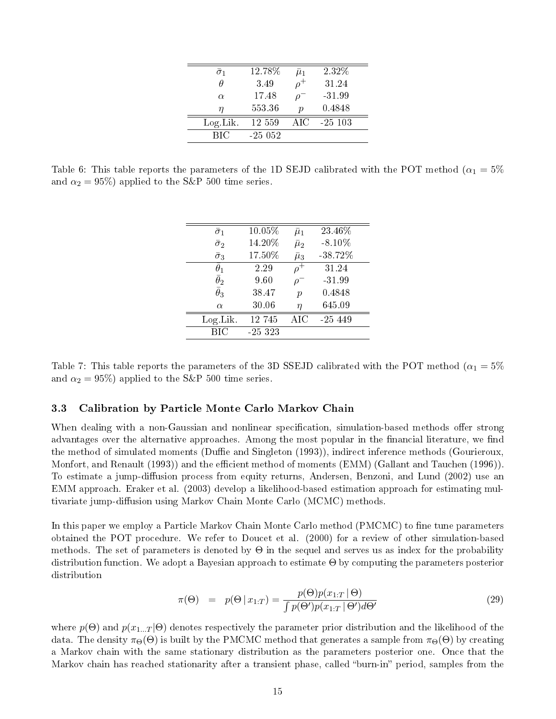| $\bar{\sigma}_1$ | 12.78%    | $\mu_1$          | 232\%     |
|------------------|-----------|------------------|-----------|
| Ĥ                | 3.49      |                  | 31.24     |
| $\alpha$         | 17.48     | 0                | $-31.99$  |
| η                | 553.36    | $\boldsymbol{p}$ | 0.4848    |
| Log Lik.         | 12 559    | AIC              | $-25$ 103 |
| BIC              | $-25.052$ |                  |           |

Table 6: This table reports the parameters of the 1D SEJD calibrated with the POT method ( $\alpha_1 = 5\%$ and  $\alpha_2 = 95\%$ ) applied to the S&P 500 time series.

| $\bar{\sigma}_1$ | 10.05%   | $\bar{\mu}_1$    | 23.46%     |
|------------------|----------|------------------|------------|
| $\bar{\sigma}_2$ | 14.20%   | $\bar{\mu}_2$    | $-8.10\%$  |
| $\bar{\sigma}_3$ | 17.50%   | $\bar{\mu}_3$    | $-38.72\%$ |
| $\theta_1$       | 2.29     | $\rho^+$         | 31.24      |
| $\bar{\theta}_2$ | 9.60     |                  | $-31.99$   |
| $\bar{\theta}_3$ | 38.47    | $\boldsymbol{p}$ | 0.4848     |
| $\alpha$         | 30.06    | η                | 645.09     |
| $Log$ Lik.       | 12 745   | AIC              | $-25, 449$ |
| BІC              | $-25323$ |                  |            |
|                  |          |                  |            |

Table 7: This table reports the parameters of the 3D SSEJD calibrated with the POT method ( $\alpha_1 = 5\%$ and  $\alpha_2 = 95\%$ ) applied to the S&P 500 time series.

#### 3.3 Calibration by Particle Monte Carlo Markov Chain

When dealing with a non-Gaussian and nonlinear specification, simulation-based methods offer strong advantages over the alternative approaches. Among the most popular in the financial literature, we find the method of simulated moments (Duffie and Singleton (1993)), indirect inference methods (Gourieroux, Monfort, and Renault (1993)) and the efficient method of moments (EMM) (Gallant and Tauchen (1996)). To estimate a jump-diffusion process from equity returns, Andersen, Benzoni, and Lund (2002) use an EMM approach. Eraker et al. (2003) develop a likelihood-based estimation approach for estimating multivariate jump-diffusion using Markov Chain Monte Carlo (MCMC) methods.

In this paper we employ a Particle Markov Chain Monte Carlo method (PMCMC) to fine tune parameters obtained the POT procedure. We refer to Doucet et al. (2000) for a review of other simulation-based methods. The set of parameters is denoted by  $\Theta$  in the sequel and serves us as index for the probability distribution function. We adopt a Bayesian approach to estimate Θ by computing the parameters posterior distribution

$$
\pi(\Theta) = p(\Theta | x_{1:T}) = \frac{p(\Theta)p(x_{1:T} | \Theta)}{\int p(\Theta')p(x_{1:T} | \Theta')d\Theta'} \tag{29}
$$

where  $p(\Theta)$  and  $p(x_{1...T}|\Theta)$  denotes respectively the parameter prior distribution and the likelihood of the data. The density  $\pi_{\Theta}(\Theta)$  is built by the PMCMC method that generates a sample from  $\pi_{\Theta}(\Theta)$  by creating a Markov chain with the same stationary distribution as the parameters posterior one. Once that the Markov chain has reached stationarity after a transient phase, called "burn-in" period, samples from the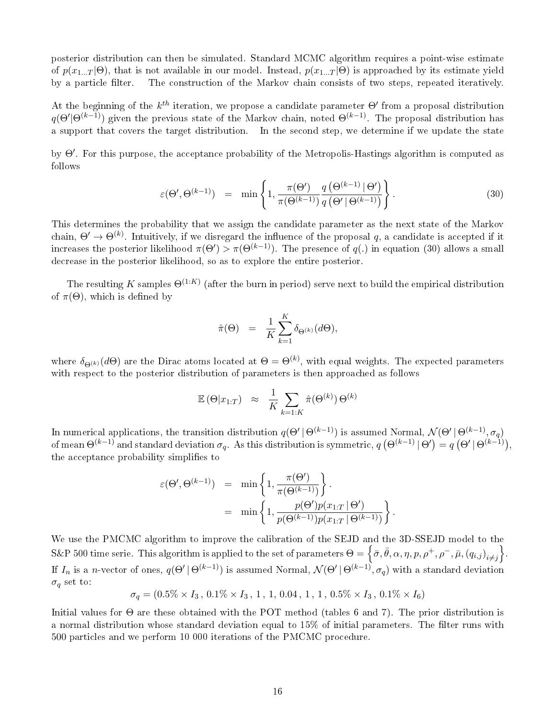posterior distribution can then be simulated. Standard MCMC algorithm requires a point-wise estimate of  $p(x_{1...T} | \Theta)$ , that is not available in our model. Instead,  $p(x_{1...T} | \Theta)$  is approached by its estimate yield by a particle filter. The construction of the Markov chain consists of two steps, repeated iteratively.

At the beginning of the  $k^{th}$  iteration, we propose a candidate parameter  $\Theta'$  from a proposal distribution  $q(\Theta'|\Theta^{(k-1)})$  given the previous state of the Markov chain, noted  $\Theta^{(k-1)}$ . The proposal distribution has a support that covers the target distribution. In the second step, we determine if we update the state

by  $\Theta'$ . For this purpose, the acceptance probability of the Metropolis-Hastings algorithm is computed as follows

$$
\varepsilon(\Theta', \Theta^{(k-1)}) = \min\left\{1, \frac{\pi(\Theta')}{\pi(\Theta^{(k-1)})} \frac{q\left(\Theta^{(k-1)} \mid \Theta'\right)}{q\left(\Theta' \mid \Theta^{(k-1)}\right)}\right\}.
$$
\n(30)

This determines the probability that we assign the candidate parameter as the next state of the Markov chain,  $\Theta' \to \Theta^{(k)}$ . Intuitively, if we disregard the influence of the proposal q, a candidate is accepted if it increases the posterior likelihood  $\pi(\Theta') > \pi(\Theta^{(k-1)})$ . The presence of  $q(.)$  in equation (30) allows a small decrease in the posterior likelihood, so as to explore the entire posterior.

The resulting  $K$  samples  $\Theta^{(1:K)}$  (after the burn in period) serve next to build the empirical distribution of  $\pi(\Theta)$ , which is defined by

$$
\hat{\pi}(\Theta) = \frac{1}{K} \sum_{k=1}^{K} \delta_{\Theta^{(k)}}(d\Theta),
$$

where  $\delta_{\Theta^{(k)}}(d\Theta)$  are the Dirac atoms located at  $\Theta=\Theta^{(k)},$  with equal weights. The expected parameters with respect to the posterior distribution of parameters is then approached as follows

$$
\mathbb{E}(\Theta|x_{1:T}) \approx \frac{1}{K} \sum_{k=1:K} \hat{\pi}(\Theta^{(k)}) \Theta^{(k)}
$$

In numerical applications, the transition distribution  $q(\Theta' \,|\, \Theta^{(k-1)})$  is assumed Normal,  $\mathcal{N}(\Theta' \,|\, \Theta^{(k-1)}, \sigma_q)$ of mean  $\Theta^{(k-1)}$  and standard deviation  $\sigma_q$ . As this distribution is symmetric,  $q\left(\Theta^{(k-1)}\,|\,\Theta'\right)=q\left(\Theta'\,|\,\Theta^{(k-1)}\right),$ the acceptance probability simplifies to

$$
\varepsilon(\Theta', \Theta^{(k-1)}) = \min\left\{1, \frac{\pi(\Theta')}{\pi(\Theta^{(k-1)})}\right\}.
$$
  
= 
$$
\min\left\{1, \frac{p(\Theta')p(x_{1:T} | \Theta')}{p(\Theta^{(k-1)})p(x_{1:T} | \Theta^{(k-1)})}\right\}.
$$

We use the PMCMC algorithm to improve the calibration of the SEJD and the 3D-SSEJD model to the S&P 500 time serie. This algorithm is applied to the set of parameters  $\Theta = \left\{\bar{\sigma}, \bar{\theta}, \alpha, \eta, p, \rho^+, \rho^-, \bar{\mu}, (q_{i,j})_{i\neq j}\right\}.$ If  $I_n$  is a *n*-vector of ones,  $q(\Theta' \, | \, \Theta^{(k-1)})$  is assumed Normal,  $\mathcal{N}(\Theta' \, | \, \Theta^{(k-1)}, \sigma_q)$  with a standard deviation  $\sigma_q$  set to:

 $\sigma_q = (0.5\% \times I_3, 0.1\% \times I_3, 1, 1, 0.04, 1, 1, 0.5\% \times I_3, 0.1\% \times I_6)$ 

Initial values for Θ are these obtained with the POT method (tables 6 and 7). The prior distribution is a normal distribution whose standard deviation equal to  $15\%$  of initial parameters. The filter runs with 500 particles and we perform 10 000 iterations of the PMCMC procedure.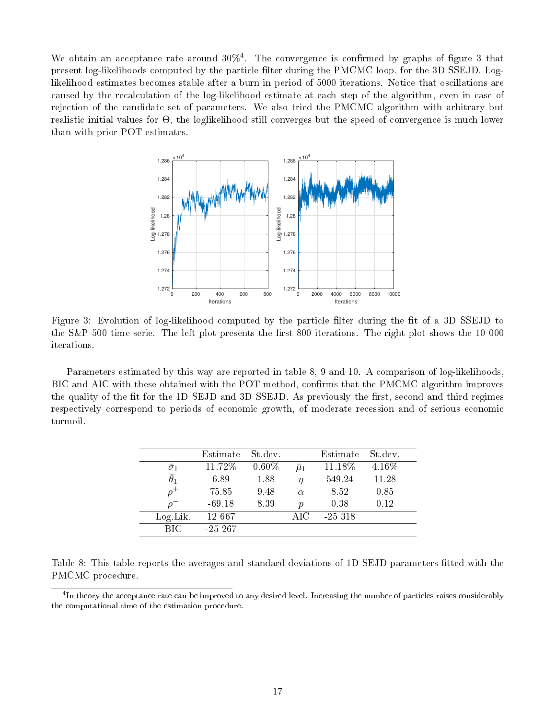We obtain an acceptance rate around  $30\%$ <sup>4</sup>. The convergence is confirmed by graphs of figure 3 that present log-likelihoods computed by the particle filter during the PMCMC loop, for the 3D SSEJD. Loglikelihood estimates becomes stable after a burn in period of 5000 iterations. Notice that oscillations are caused by the recalculation of the log-likelihood estimate at each step of the algorithm, even in case of rejection of the candidate set of parameters. We also tried the PMCMC algorithm with arbitrary but realistic initial values for Θ, the loglikelihood still converges but the speed of convergence is much lower than with prior POT estimates.



Figure 3: Evolution of log-likelihood computed by the particle filter during the fit of a 3D SSEJD to the S&P 500 time serie. The left plot presents the first 800 iterations. The right plot shows the 10 000 iterations.

Parameters estimated by this way are reported in table 8, 9 and 10. A comparison of log-likelihoods, BIC and AIC with these obtained with the POT method, confirms that the PMCMC algorithm improves the quality of the fit for the 1D SEJD and 3D SSEJD. As previously the first, second and third regimes respectively correspond to periods of economic growth, of moderate recession and of serious economic turmoil.

|                  | Estimate   | St.dev.  |                  | Estimate  | St dev. |
|------------------|------------|----------|------------------|-----------|---------|
| $\sigma_1$       | 11.72%     | $0.60\%$ | $\bar{\mu}_1$    | 11.18%    | 4.16%   |
| $\bar{\theta}_1$ | 6.89       | 1.88     | $\eta$           | 549.24    | 11.28   |
|                  | 75.85      | 9.48     | $\alpha$         | 8.52      | 0.85    |
| $\overline{O}$   | $-69.18$   | 8.39     | $\boldsymbol{v}$ | 0.38      | 0.12    |
| $Log$ Lik.       | 12 667     |          | AIC              | $-25.318$ |         |
| <b>BIC</b>       | $-25\;267$ |          |                  |           |         |

|                  | Table 8: This table reports the averages and standard deviations of 1D SEJD parameters fitted with the |  |  |  |  |  |
|------------------|--------------------------------------------------------------------------------------------------------|--|--|--|--|--|
| PMCMC procedure. |                                                                                                        |  |  |  |  |  |

 $^4{\rm In}$  theory the acceptance rate can be improved to any desired level. Increasing the number of particles raises considerably the computational time of the estimation procedure.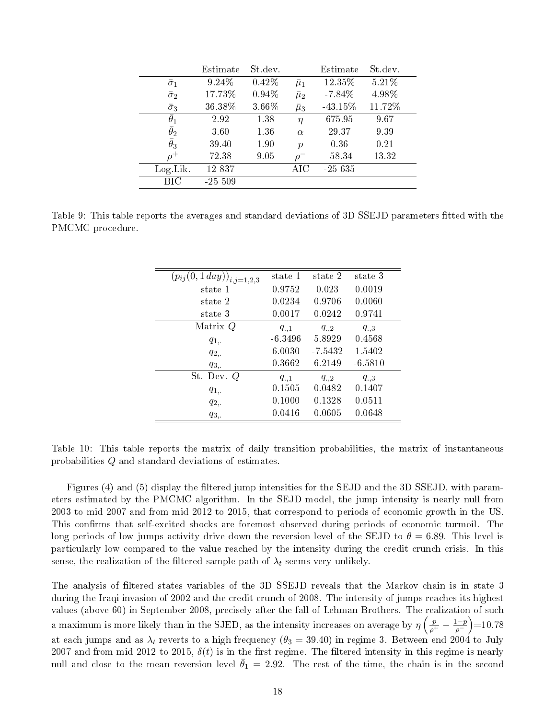|                  | Estimate | St.dev. |               | Estimate   | St dev. |
|------------------|----------|---------|---------------|------------|---------|
| $\bar{\sigma}_1$ | 9.24%    | 0.42%   | $\bar{\mu}_1$ | 12.35%     | 5.21%   |
| $\bar{\sigma}_2$ | 17.73%   | 0.94%   | $\bar{\mu}_2$ | $-7.84%$   | 4.98%   |
| $\bar{\sigma}_3$ | 36.38%   | 3.66%   | $\bar{\mu}_3$ | $-43.15\%$ | 11.72%  |
| $\theta_1$       | 2.92     | 1.38    | $\eta$        | 675.95     | 9.67    |
| $\bar{\theta}_2$ | 360      | 1.36    | $\alpha$      | 29.37      | 9.39    |
| $\bar{\theta}_3$ | 39.40    | 1.90    | $\mathcal{p}$ | 0.36       | 0.21    |
| $\rho^+$         | 72.38    | 9.05    | $\Omega$      | $-58.34$   | 13.32   |
| Log Lik.         | 12 837   |         | $\rm AIC$     | $-25635$   |         |
| BІC              | $-25509$ |         |               |            |         |

Table 9: This table reports the averages and standard deviations of 3D SSEJD parameters fitted with the PMCMC procedure.

| $(\overline{p}_{ij}(0,1\,day))_{i,j=1,2,3}$ | state 1   | state 2   | state 3   |
|---------------------------------------------|-----------|-----------|-----------|
| state 1                                     | 0.9752    | 0.023     | 0.0019    |
| state 2                                     | 0.0234    | 0.9706    | 0.0060    |
| state 3                                     | 0.0017    | 0.0242    | 0.9741    |
| Matrix Q                                    | $q_{.,1}$ | $q_{.,2}$ | $q_{.,3}$ |
| $q_{1,.}$                                   | $-6.3496$ | 5.8929    | 0.4568    |
| $q_{2,}$                                    | 6.0030    | $-7.5432$ | 1.5402    |
| $q_{3,.}$                                   | 0.3662    | 6.2149    | $-6.5810$ |
| St. Dev. Q                                  | $q_{.,1}$ | $q_{.,2}$ | $q_{.3}$  |
| $q_{1,.}$                                   | 0.1505    | 0.0482    | 0.1407    |
| $q_{2,}$                                    | 0.1000    | 0.1328    | 0.0511    |
| $q_{3,.}$                                   | 0.0416    | 0.0605    | 0.0648    |
|                                             |           |           |           |

Table 10: This table reports the matrix of daily transition probabilities, the matrix of instantaneous probabilities Q and standard deviations of estimates.

Figures (4) and (5) display the filtered jump intensities for the SEJD and the 3D SSEJD, with parameters estimated by the PMCMC algorithm. In the SEJD model, the jump intensity is nearly null from 2003 to mid 2007 and from mid 2012 to 2015, that correspond to periods of economic growth in the US. This confirms that self-excited shocks are foremost observed during periods of economic turmoil. The long periods of low jumps activity drive down the reversion level of the SEJD to  $\theta = 6.89$ . This level is particularly low compared to the value reached by the intensity during the credit crunch crisis. In this sense, the realization of the filtered sample path of  $\lambda_t$  seems very unlikely.

The analysis of filtered states variables of the 3D SSEJD reveals that the Markov chain is in state 3 during the Iraqi invasion of 2002 and the credit crunch of 2008. The intensity of jumps reaches its highest values (above 60) in September 2008, precisely after the fall of Lehman Brothers. The realization of such a maximum is more likely than in the SJED, as the intensity increases on average by  $\eta\left(\frac{p}{\rho^+}-\frac{1-p}{\rho^-}\right)$  $\frac{(p-p)}{p}$  = 10.78 at each jumps and as  $\lambda_t$  reverts to a high frequency  $(\theta_3=39.40)$  in regime 3. Between end 2004 to July 2007 and from mid 2012 to 2015,  $\delta(t)$  is in the first regime. The filtered intensity in this regime is nearly null and close to the mean reversion level  $\bar{\theta}_1 = 2.92$ . The rest of the time, the chain is in the second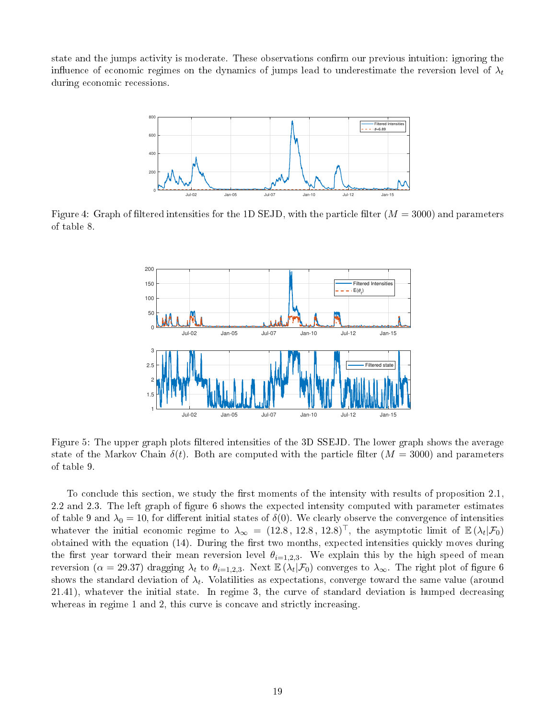state and the jumps activity is moderate. These observations confirm our previous intuition: ignoring the influence of economic regimes on the dynamics of jumps lead to underestimate the reversion level of  $\lambda_t$ during economic recessions.



Figure 4: Graph of filtered intensities for the 1D SEJD, with the particle filter  $(M = 3000)$  and parameters of table 8.



Figure 5: The upper graph plots filtered intensities of the 3D SSEJD. The lower graph shows the average state of the Markov Chain  $\delta(t)$ . Both are computed with the particle filter  $(M = 3000)$  and parameters of table 9.

To conclude this section, we study the first moments of the intensity with results of proposition  $2.1$ , 2.2 and 2.3. The left graph of figure 6 shows the expected intensity computed with parameter estimates of table 9 and  $\lambda_0 = 10$ , for different initial states of  $\delta(0)$ . We clearly observe the convergence of intensities whatever the initial economic regime to  $\lambda_{\infty} = (12.8, 12.8, 12.8)^{\top}$ , the asymptotic limit of  $\mathbb{E}(\lambda_t|\mathcal{F}_0)$ obtained with the equation (14). During the first two months, expected intensities quickly moves during the first year torward their mean reversion level  $\theta_{i=1,2,3}$ . We explain this by the high speed of mean reversion ( $\alpha=29.37$ ) dragging  $\lambda_t$  to  $\theta_{i=1,2,3}$ . Next  $\mathbb{E}\left(\lambda_t\vert \mathcal{F}_0\right)$  converges to  $\lambda_\infty$ . The right plot of figure 6 shows the standard deviation of  $\lambda_t$ . Volatilities as expectations, converge toward the same value (around 21.41), whatever the initial state. In regime 3, the curve of standard deviation is humped decreasing whereas in regime 1 and 2, this curve is concave and strictly increasing.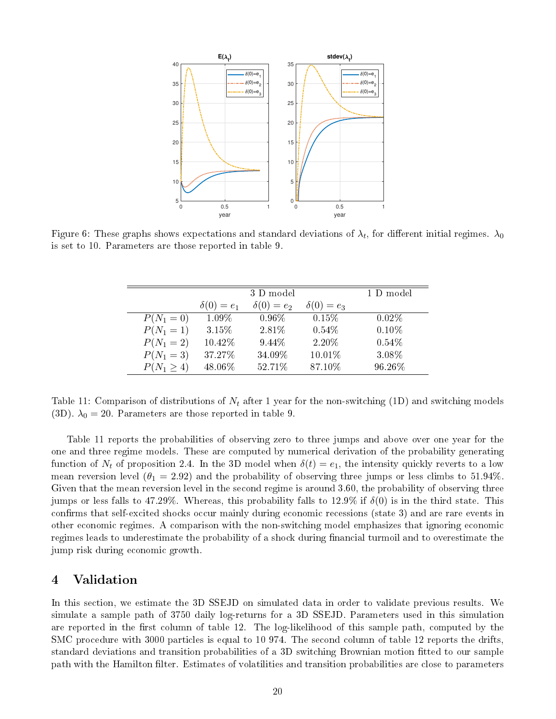

Figure 6: These graphs shows expectations and standard deviations of  $\lambda_t,$  for different initial regimes.  $\lambda_0$ is set to 10. Parameters are those reported in table 9.

|                 |                   | 3 D model         |                   | 1 D model |
|-----------------|-------------------|-------------------|-------------------|-----------|
|                 | $\delta(0) = e_1$ | $\delta(0) = e_2$ | $\delta(0) = e_3$ |           |
| $P(N_1 = 0)$    | 1.09%             | $0.96\%$          | $0.15\%$          | $0.02\%$  |
| $P(N_1 = 1)$    | 3.15%             | 2.81%             | 0.54%             | 0.10%     |
| $P(N_1 = 2)$    | 10.42%            | 9.44\%            | 2.20%             | 0.54%     |
| $P(N_1 = 3)$    | 37.27%            | 34.09%            | 10.01%            | 3.08%     |
| $P(N_1 \geq 4)$ | 48.06%            | 52.71%            | 87.10%            | 96.26%    |

Table 11: Comparison of distributions of  $N_t$  after 1 year for the non-switching (1D) and switching models (3D).  $\lambda_0 = 20$ . Parameters are those reported in table 9.

Table 11 reports the probabilities of observing zero to three jumps and above over one year for the one and three regime models. These are computed by numerical derivation of the probability generating function of  $N_t$  of proposition 2.4. In the 3D model when  $\delta(t) = e_1$ , the intensity quickly reverts to a low mean reversion level  $(\theta_1 = 2.92)$  and the probability of observing three jumps or less climbs to 51.94%. Given that the mean reversion level in the second regime is around 3.60, the probability of observing three jumps or less falls to 47.29%. Whereas, this probability falls to 12.9% if  $\delta(0)$  is in the third state. This confirms that self-excited shocks occur mainly during economic recessions (state 3) and are rare events in other economic regimes. A comparison with the non-switching model emphasizes that ignoring economic regimes leads to underestimate the probability of a shock during financial turmoil and to overestimate the jump risk during economic growth.

## 4 Validation

In this section, we estimate the 3D SSEJD on simulated data in order to validate previous results. We simulate a sample path of 3750 daily log-returns for a 3D SSEJD. Parameters used in this simulation are reported in the first column of table 12. The log-likelihood of this sample path, computed by the SMC procedure with 3000 particles is equal to 10 974. The second column of table 12 reports the drifts, standard deviations and transition probabilities of a 3D switching Brownian motion tted to our sample path with the Hamilton filter. Estimates of volatilities and transition probabilities are close to parameters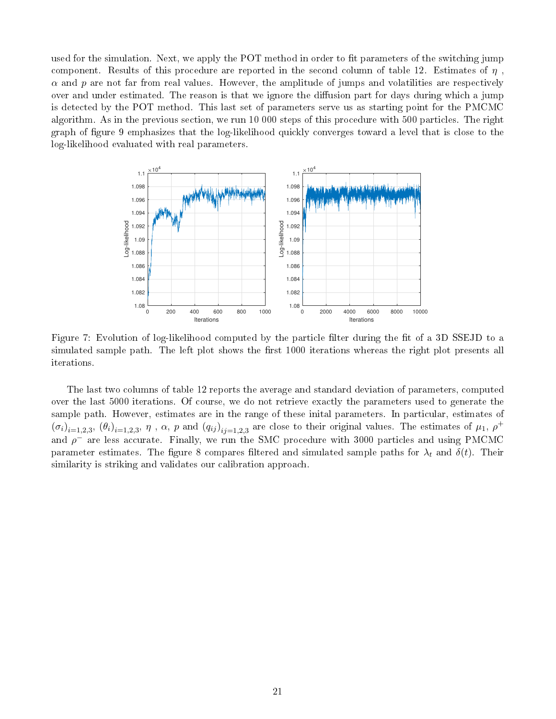used for the simulation. Next, we apply the POT method in order to fit parameters of the switching jump component. Results of this procedure are reported in the second column of table 12. Estimates of  $\eta$ ,  $\alpha$  and p are not far from real values. However, the amplitude of jumps and volatilities are respectively over and under estimated. The reason is that we ignore the diffusion part for days during which a jump is detected by the POT method. This last set of parameters serve us as starting point for the PMCMC algorithm. As in the previous section, we run 10 000 steps of this procedure with 500 particles. The right graph of gure 9 emphasizes that the log-likelihood quickly converges toward a level that is close to the log-likelihood evaluated with real parameters.



Figure 7: Evolution of log-likelihood computed by the particle filter during the fit of a 3D SSEJD to a simulated sample path. The left plot shows the first 1000 iterations whereas the right plot presents all iterations.

The last two columns of table 12 reports the average and standard deviation of parameters, computed over the last 5000 iterations. Of course, we do not retrieve exactly the parameters used to generate the sample path. However, estimates are in the range of these inital parameters. In particular, estimates of  $(\sigma_i)_{i=1,2,3}, (\theta_i)_{i=1,2,3}, \eta$ ,  $\alpha$ ,  $p$  and  $(q_{ij})_{ij=1,2,3}$  are close to their original values. The estimates of  $\mu_1$ ,  $\rho^+$ and  $\rho^-$  are less accurate. Finally, we run the SMC procedure with 3000 particles and using PMCMC parameter estimates. The figure 8 compares filtered and simulated sample paths for  $\lambda_t$  and  $\delta(t)$ . Their similarity is striking and validates our calibration approach.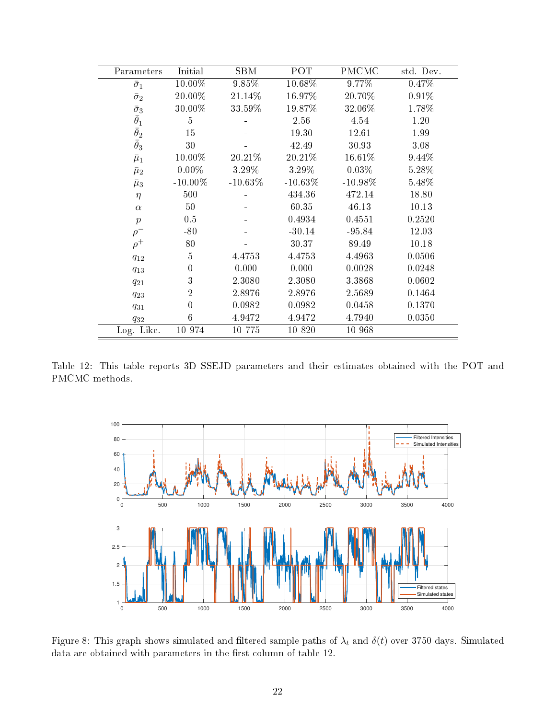| Parameters                                                                 | Initial          | <b>SBM</b> | POT        | <b>PMCMC</b> | std. Dev. |
|----------------------------------------------------------------------------|------------------|------------|------------|--------------|-----------|
| $\bar{\sigma}_1$                                                           | 10.00%           | 9.85%      | 10.68%     | 9.77%        | 0.47%     |
| $\bar{\sigma}_2$                                                           | 20.00%           | 21.14%     | 16.97%     | 20.70%       | 0.91%     |
|                                                                            | 30.00%           | 33.59%     | 19.87%     | 32.06%       | 1.78%     |
| $\begin{matrix}\bar{\sigma}_3\\\bar{\theta}_1\\\bar{\theta}_2\end{matrix}$ | $\overline{5}$   |            | 2.56       | 4.54         | 1.20      |
|                                                                            | $15\,$           |            | 19.30      | 12.61        | 1.99      |
| $\bar{\theta}_3$                                                           | 30               |            | 42.49      | 30.93        | 3.08      |
| $\bar{\mu}_1$                                                              | 10.00%           | 20.21%     | 20.21\%    | 16.61%       | 9.44%     |
| $\bar{\mu}_2$                                                              | $0.00\%$         | 3.29%      | 3.29%      | 0.03%        | $5.28\%$  |
| $\bar{\mu}_3$                                                              | $-10.00\%$       | $-10.63\%$ | $-10.63\%$ | $-10.98\%$   | 5.48%     |
| $\eta$                                                                     | 500              |            | 434.36     | 472.14       | 18.80     |
| $\alpha$                                                                   | 50               |            | 60.35      | 46.13        | 10.13     |
| $\boldsymbol{p}$                                                           | 0.5              |            | 0.4934     | 0.4551       | 0.2520    |
| $\rho^-$                                                                   | $-80$            |            | $-30.14$   | $-95.84$     | 12.03     |
| $\rho^+$                                                                   | 80               |            | 30.37      | 89.49        | 10.18     |
| $q_{12}$                                                                   | $\bf 5$          | 4.4753     | 4.4753     | 4.4963       | 0.0506    |
| $q_{13}$                                                                   | $\boldsymbol{0}$ | 0.000      | 0.000      | 0.0028       | 0.0248    |
| $q_{21}$                                                                   | 3                | 2.3080     | 2.3080     | 3.3868       | 0.0602    |
| $q_{23}$                                                                   | $\overline{2}$   | 2.8976     | 2.8976     | 2.5689       | 0.1464    |
| $q_{31}$                                                                   | $\overline{0}$   | 0.0982     | 0.0982     | 0.0458       | 0.1370    |
| $q_{32}$                                                                   | 6                | 4.9472     | 4.9472     | 4.7940       | 0.0350    |
| Log. Like.                                                                 | 10 974           | 10 775     | 10 8 20    | 10 968       |           |

Table 12: This table reports 3D SSEJD parameters and their estimates obtained with the POT and PMCMC methods.



Figure 8: This graph shows simulated and filtered sample paths of  $\lambda_t$  and  $\delta(t)$  over 3750 days. Simulated data are obtained with parameters in the first column of table 12.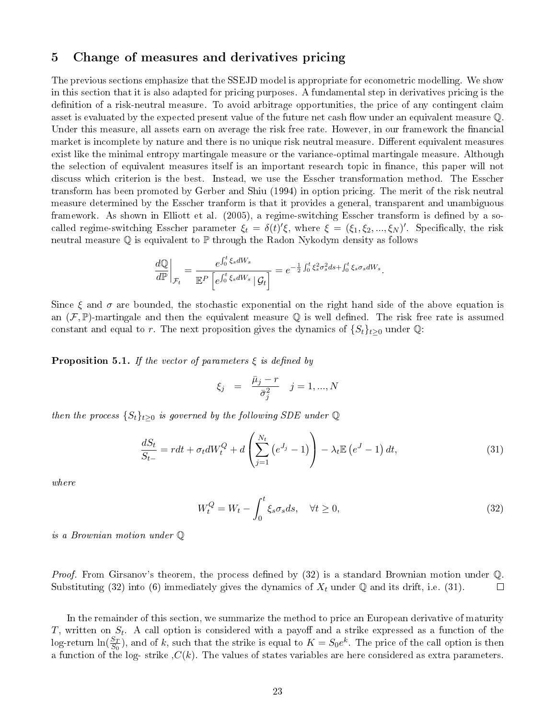#### 5 Change of measures and derivatives pricing

The previous sections emphasize that the SSEJD model is appropriate for econometric modelling. We show in this section that it is also adapted for pricing purposes. A fundamental step in derivatives pricing is the definition of a risk-neutral measure. To avoid arbitrage opportunities, the price of any contingent claim asset is evaluated by the expected present value of the future net cash flow under an equivalent measure  $\mathbb Q$ . Under this measure, all assets earn on average the risk free rate. However, in our framework the financial market is incomplete by nature and there is no unique risk neutral measure. Different equivalent measures exist like the minimal entropy martingale measure or the variance-optimal martingale measure. Although the selection of equivalent measures itself is an important research topic in finance, this paper will not discuss which criterion is the best. Instead, we use the Esscher transformation method. The Esscher transform has been promoted by Gerber and Shiu (1994) in option pricing. The merit of the risk neutral measure determined by the Esscher tranform is that it provides a general, transparent and unambiguous framework. As shown in Elliott et al. (2005), a regime-switching Esscher transform is defined by a socalled regime-switching Esscher parameter  $\xi_t = \delta(t)'\xi$ , where  $\xi = (\xi_1, \xi_2, ..., \xi_N)'$ . Specifically, the risk neutral measure Q is equivalent to P through the Radon Nykodym density as follows

$$
\frac{d\mathbb{Q}}{d\mathbb{P}}\bigg|_{\mathcal{F}_t} = \frac{e^{\int_0^t \xi_s dW_s}}{\mathbb{E}^P \left[e^{\int_0^t \xi_s dW_s} \,|\, \mathcal{G}_t\right]} = e^{-\frac{1}{2} \int_0^t \xi_s^2 \sigma_s^2 ds + \int_0^t \xi_s \sigma_s dW_s}.
$$

Since  $\xi$  and  $\sigma$  are bounded, the stochastic exponential on the right hand side of the above equation is an  $(\mathcal{F}, \mathbb{P})$ -martingale and then the equivalent measure Q is well defined. The risk free rate is assumed constant and equal to r. The next proposition gives the dynamics of  $\{S_t\}_{t\geq 0}$  under Q:

**Proposition 5.1.** If the vector of parameters  $\xi$  is defined by

$$
\xi_j = \frac{\bar{\mu}_j - r}{\bar{\sigma}_j^2} \quad j = 1, ..., N
$$

then the process  $\{S_t\}_{t\geq 0}$  is governed by the following SDE under Q

$$
\frac{dS_t}{S_{t-}} = rdt + \sigma_t dW_t^Q + d\left(\sum_{j=1}^{N_t} \left(e^{J_j} - 1\right)\right) - \lambda_t \mathbb{E}\left(e^{J} - 1\right) dt,\tag{31}
$$

where

$$
W_t^Q = W_t - \int_0^t \xi_s \sigma_s ds, \quad \forall t \ge 0,
$$
\n(32)

is a Brownian motion under Q

*Proof.* From Girsanov's theorem, the process defined by  $(32)$  is a standard Brownian motion under  $\mathbb{Q}$ . Substituting (32) into (6) immediately gives the dynamics of  $X_t$  under Q and its drift, i.e. (31).  $\Box$ 

In the remainder of this section, we summarize the method to price an European derivative of maturity  $T$ , written on  $S_t$ . A call option is considered with a payoff and a strike expressed as a function of the log-return  $\ln(\frac{S_T}{S_0})$ , and of k, such that the strike is equal to  $K=S_0e^k$ . The price of the call option is then a function of the log- strike  $C(k)$ . The values of states variables are here considered as extra parameters.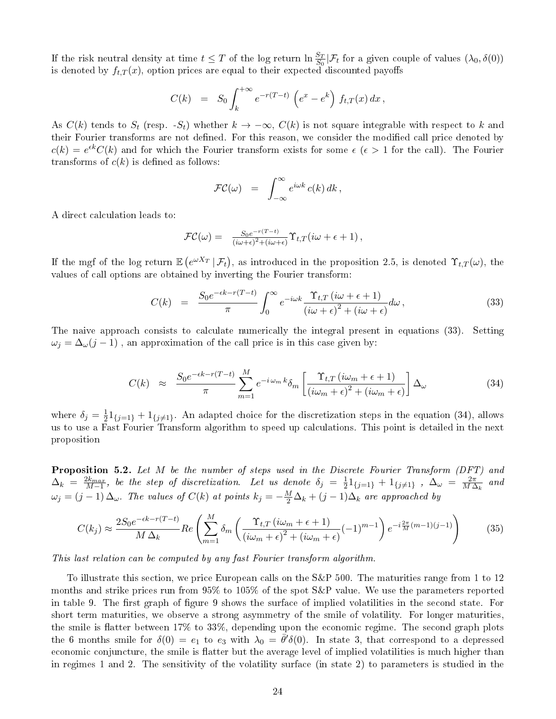If the risk neutral density at time  $t \leq T$  of the log return  $\ln \frac{S_T}{S_0} | \mathcal{F}_t$  for a given couple of values  $(\lambda_0, \delta(0))$ is denoted by  $f_{t,T}(x),$  option prices are equal to their expected discounted payoffs

$$
C(k) = S_0 \int_k^{+\infty} e^{-r(T-t)} \left( e^x - e^k \right) f_{t,T}(x) dx,
$$

As  $C(k)$  tends to  $S_t$  (resp.  $-S_t$ ) whether  $k \to -\infty$ ,  $C(k)$  is not square integrable with respect to k and their Fourier transforms are not defined. For this reason, we consider the modified call price denoted by  $c(k) = e^{\epsilon k} C(k)$  and for which the Fourier transform exists for some  $\epsilon$  ( $\epsilon > 1$  for the call). The Fourier transforms of  $c(k)$  is defined as follows:

$$
\mathcal{FC}(\omega) = \int_{-\infty}^{\infty} e^{i\omega k} c(k) dk,
$$

A direct calculation leads to:

$$
\mathcal{FC}(\omega) = \frac{S_0 e^{-r(T-t)}}{(i\omega + \epsilon)^2 + (i\omega + \epsilon)} \Upsilon_{t,T}(i\omega + \epsilon + 1),
$$

If the mgf of the log return  $\mathbb{E}\left(e^{\omega X_T} \,|\, \mathcal{F}_t\right)$ , as introduced in the proposition 2.5, is denoted  $\Upsilon_{t,T}(\omega)$ , the values of call options are obtained by inverting the Fourier transform:

$$
C(k) = \frac{S_0 e^{-\epsilon k - r(T-t)}}{\pi} \int_0^\infty e^{-i\omega k} \frac{\Upsilon_{t,T} (i\omega + \epsilon + 1)}{(i\omega + \epsilon)^2 + (i\omega + \epsilon)} d\omega, \qquad (33)
$$

The naive approach consists to calculate numerically the integral present in equations (33). Setting  $\omega_j = \Delta_{\omega}(j-1)$ , an approximation of the call price is in this case given by:

$$
C(k) \approx \frac{S_0 e^{-\epsilon k - r(T-t)}}{\pi} \sum_{m=1}^{M} e^{-i\omega_m k} \delta_m \left[ \frac{\Upsilon_{t,T} (i\omega_m + \epsilon + 1)}{(i\omega_m + \epsilon)^2 + (i\omega_m + \epsilon)} \right] \Delta_\omega \tag{34}
$$

where  $\delta_j = \frac{1}{2}$  $\frac{1}{2}1_{\{j=1\}}+1_{\{j\neq1\}}$ . An adapted choice for the discretization steps in the equation (34), allows us to use a Fast Fourier Transform algorithm to speed up calculations. This point is detailed in the next proposition

Proposition 5.2. Let M be the number of steps used in the Discrete Fourier Transform (DFT) and  $\Delta_k \; = \; \frac{2k_{max}}{M-1}, \; \textit{be the step of discretization}. \quad \textit{Let us denote} \; \delta_j \; = \; \frac{1}{2}$  $\frac{1}{2}1_{\{j=1\}} + 1_{\{j \neq 1\}}$  ,  $\Delta_{\omega} = \frac{2\pi}{M\Delta}$  $\frac{2\pi}{M\,\Delta_k}$  and  $\omega_j=(j-1)\,\Delta_\omega$ . The values of  $C(k)$  at points  $k_j=-\frac{M}{2}\Delta_k+(j-1)\Delta_k$  are approached by

$$
C(k_j) \approx \frac{2S_0 e^{-\epsilon k - r(T-t)}}{M \Delta_k} Re\left(\sum_{m=1}^M \delta_m \left(\frac{\Upsilon_{t,T} \left(i\omega_m + \epsilon + 1\right)}{\left(i\omega_m + \epsilon\right)^2 + \left(i\omega_m + \epsilon\right)} (-1)^{m-1}\right) e^{-i\frac{2\pi}{M}(m-1)(j-1)}\right) \tag{35}
$$

This last relation can be computed by any fast Fourier transform algorithm.

To illustrate this section, we price European calls on the S&P 500. The maturities range from 1 to 12 months and strike prices run from 95% to 105% of the spot S&P value. We use the parameters reported in table 9. The first graph of figure 9 shows the surface of implied volatilities in the second state. For short term maturities, we observe a strong asymmetry of the smile of volatility. For longer maturities, the smile is flatter between  $17\%$  to  $33\%$ , depending upon the economic regime. The second graph plots the 6 months smile for  $\delta(0) = e_1$  to  $e_3$  with  $\lambda_0 = \bar{\theta}' \delta(0)$ . In state 3, that correspond to a depressed economic conjuncture, the smile is flatter but the average level of implied volatilities is much higher than in regimes 1 and 2. The sensitivity of the volatility surface (in state 2) to parameters is studied in the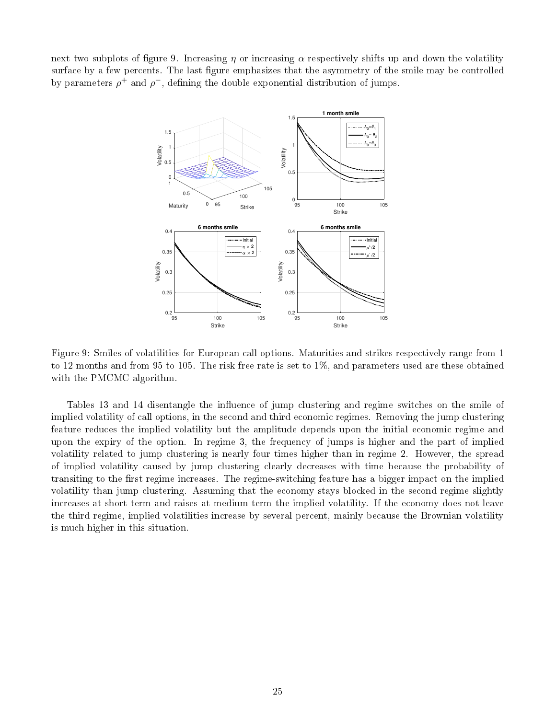next two subplots of figure 9. Increasing  $\eta$  or increasing  $\alpha$  respectively shifts up and down the volatility surface by a few percents. The last figure emphasizes that the asymmetry of the smile may be controlled by parameters  $\rho^+$  and  $\rho^-$ , defining the double exponential distribution of jumps.



Figure 9: Smiles of volatilities for European call options. Maturities and strikes respectively range from 1 to 12 months and from 95 to 105. The risk free rate is set to 1%, and parameters used are these obtained with the PMCMC algorithm.

Tables 13 and 14 disentangle the influence of jump clustering and regime switches on the smile of implied volatility of call options, in the second and third economic regimes. Removing the jump clustering feature reduces the implied volatility but the amplitude depends upon the initial economic regime and upon the expiry of the option. In regime 3, the frequency of jumps is higher and the part of implied volatility related to jump clustering is nearly four times higher than in regime 2. However, the spread of implied volatility caused by jump clustering clearly decreases with time because the probability of transiting to the first regime increases. The regime-switching feature has a bigger impact on the implied volatility than jump clustering. Assuming that the economy stays blocked in the second regime slightly increases at short term and raises at medium term the implied volatility. If the economy does not leave the third regime, implied volatilities increase by several percent, mainly because the Brownian volatility is much higher in this situation.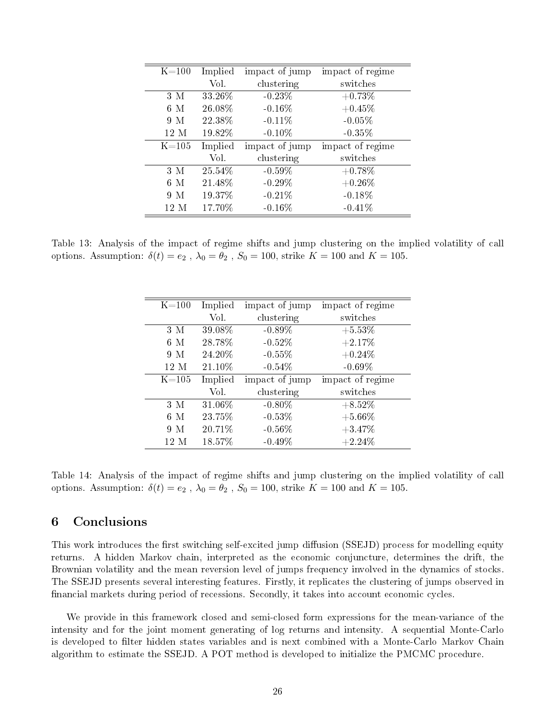| $K = 100$ | Implied | impact of jump | impact of regime |
|-----------|---------|----------------|------------------|
|           | Vol.    | clustering     | switches         |
| 3 M       | 33.26%  | $-0.23%$       | $+0.73%$         |
| $6\,$ M   | 26.08%  | $-0.16\%$      | $+0.45%$         |
| 9 M       | 22.38%  | $-0.11\%$      | $-0.05%$         |
| 12 M      | 19.82%  | $-0.10\%$      | $-0.35%$         |
| $K = 105$ | Implied | impact of jump | impact of regime |
|           | Vol.    | clustering     | switches         |
| 3 M       | 25.54%  | $-0.59\%$      | $+0.78\%$        |
| 6 M       | 21.48%  | $-0.29\%$      | $+0.26\%$        |
| 9 M       | 19.37%  | $-0.21%$       | $-0.18%$         |
| 12 M      | 17.70%  | $-0.16\%$      | $-0.41%$         |

Table 13: Analysis of the impact of regime shifts and jump clustering on the implied volatility of call options. Assumption:  $\delta(t) = e_2$ ,  $\lambda_0 = \theta_2$ ,  $S_0 = 100$ , strike  $K = 100$  and  $K = 105$ .

| $K = 100$ | Implied | impact of jump | impact of regime |
|-----------|---------|----------------|------------------|
|           | Vol.    | clustering     | switches         |
| 3M        | 39.08%  | $-0.89\%$      | $+5.53%$         |
| 6M        | 28.78%  | $-0.52%$       | $+2.17%$         |
| 9 M       | 24.20%  | $-0.55\%$      | $+0.24%$         |
| 12 M      | 21.10%  | $-0.54\%$      | $-0.69\%$        |
| $K = 105$ | Implied | impact of jump | impact of regime |
|           | Vol.    | clustering     | switches         |
| 3 M       | 31.06%  | $-0.80\%$      | $+8.52%$         |
| 6M        | 23.75%  | $-0.53\%$      | $+5.66\%$        |
| 9 M       | 20.71%  | $-0.56\%$      | $+3.47%$         |
| 12 M      | 18.57%  | $-0.49\%$      | $+2.24%$         |

Table 14: Analysis of the impact of regime shifts and jump clustering on the implied volatility of call options. Assumption:  $\delta(t) = e_2$ ,  $\lambda_0 = \theta_2$ ,  $S_0 = 100$ , strike  $K = 100$  and  $K = 105$ .

### 6 Conclusions

This work introduces the first switching self-excited jump diffusion (SSEJD) process for modelling equity returns. A hidden Markov chain, interpreted as the economic conjuncture, determines the drift, the Brownian volatility and the mean reversion level of jumps frequency involved in the dynamics of stocks. The SSEJD presents several interesting features. Firstly, it replicates the clustering of jumps observed in financial markets during period of recessions. Secondly, it takes into account economic cycles.

We provide in this framework closed and semi-closed form expressions for the mean-variance of the intensity and for the joint moment generating of log returns and intensity. A sequential Monte-Carlo is developed to filter hidden states variables and is next combined with a Monte-Carlo Markov Chain algorithm to estimate the SSEJD. A POT method is developed to initialize the PMCMC procedure.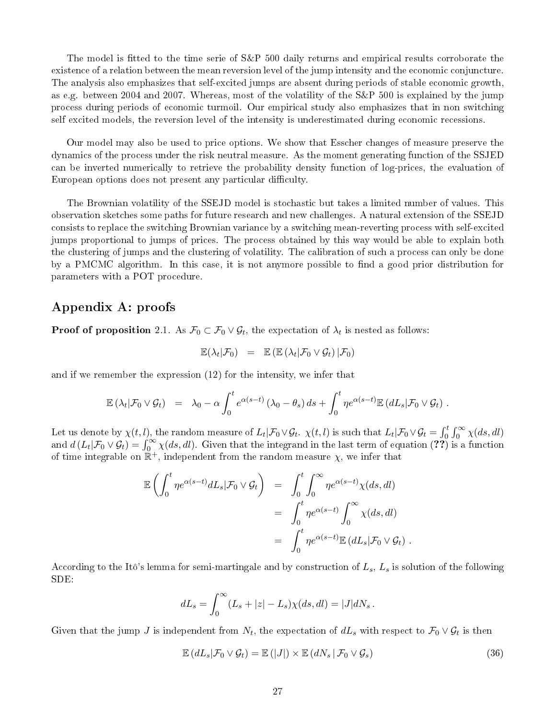The model is fitted to the time serie of S&P 500 daily returns and empirical results corroborate the existence of a relation between the mean reversion level of the jump intensity and the economic conjuncture. The analysis also emphasizes that self-excited jumps are absent during periods of stable economic growth, as e.g. between 2004 and 2007. Whereas, most of the volatility of the S&P 500 is explained by the jump process during periods of economic turmoil. Our empirical study also emphasizes that in non switching self excited models, the reversion level of the intensity is underestimated during economic recessions.

Our model may also be used to price options. We show that Esscher changes of measure preserve the dynamics of the process under the risk neutral measure. As the moment generating function of the SSJED can be inverted numerically to retrieve the probability density function of log-prices, the evaluation of European options does not present any particular difficulty.

The Brownian volatility of the SSEJD model is stochastic but takes a limited number of values. This observation sketches some paths for future research and new challenges. A natural extension of the SSEJD consists to replace the switching Brownian variance by a switching mean-reverting process with self-excited jumps proportional to jumps of prices. The process obtained by this way would be able to explain both the clustering of jumps and the clustering of volatility. The calibration of such a process can only be done by a PMCMC algorithm. In this case, it is not anymore possible to find a good prior distribution for parameters with a POT procedure.

## Appendix A: proofs

**Proof of proposition** 2.1. As  $\mathcal{F}_0 \subset \mathcal{F}_0 \vee \mathcal{G}_t$ , the expectation of  $\lambda_t$  is nested as follows:

$$
\mathbb{E}(\lambda_t|\mathcal{F}_0) = \mathbb{E}(\mathbb{E}(\lambda_t|\mathcal{F}_0 \vee \mathcal{G}_t) | \mathcal{F}_0)
$$

and if we remember the expression (12) for the intensity, we infer that

$$
\mathbb{E}(\lambda_t|\mathcal{F}_0\vee\mathcal{G}_t) = \lambda_0 - \alpha \int_0^t e^{\alpha(s-t)} (\lambda_0-\theta_s) ds + \int_0^t \eta e^{\alpha(s-t)} \mathbb{E}(dL_s|\mathcal{F}_0\vee\mathcal{G}_t).
$$

Let us denote by  $\chi(t,l)$ , the random measure of  $L_t | \mathcal{F}_0 \vee \mathcal{G}_t$ .  $\chi(t,l)$  is such that  $L_t | \mathcal{F}_0 \vee \mathcal{G}_t = \int_0^t \int_0^\infty \chi(ds, dl)$ and  $d(L_t|\mathcal{F}_0 \vee \mathcal{G}_t) = \int_0^\infty \chi(ds, dl)$ . Given that the integrand in the last term of equation (??) is a function of time integrable on  $\mathbb{R}^+$ , independent from the random measure  $\chi$ , we infer that

$$
\mathbb{E}\left(\int_0^t \eta e^{\alpha(s-t)} dL_s | \mathcal{F}_0 \vee \mathcal{G}_t\right) = \int_0^t \int_0^\infty \eta e^{\alpha(s-t)} \chi(ds, dl)
$$
  

$$
= \int_0^t \eta e^{\alpha(s-t)} \int_0^\infty \chi(ds, dl)
$$
  

$$
= \int_0^t \eta e^{\alpha(s-t)} \mathbb{E}\left(dL_s | \mathcal{F}_0 \vee \mathcal{G}_t\right).
$$

According to the Itô's lemma for semi-martingale and by construction of  $L_s,$   $L_s$  is solution of the following SDE:

$$
dL_s = \int_0^\infty (L_s + |z| - L_s) \chi(ds, dl) = |J| dN_s.
$$

Given that the jump  $J$  is independent from  $N_t$ , the expectation of  $dL_s$  with respect to  $\mathcal{F}_0\vee\mathcal{G}_t$  is then

$$
\mathbb{E}\left(dL_s|\mathcal{F}_0\vee\mathcal{G}_t\right)=\mathbb{E}\left(|J|\right)\times\mathbb{E}\left(dN_s|\mathcal{F}_0\vee\mathcal{G}_s\right) \tag{36}
$$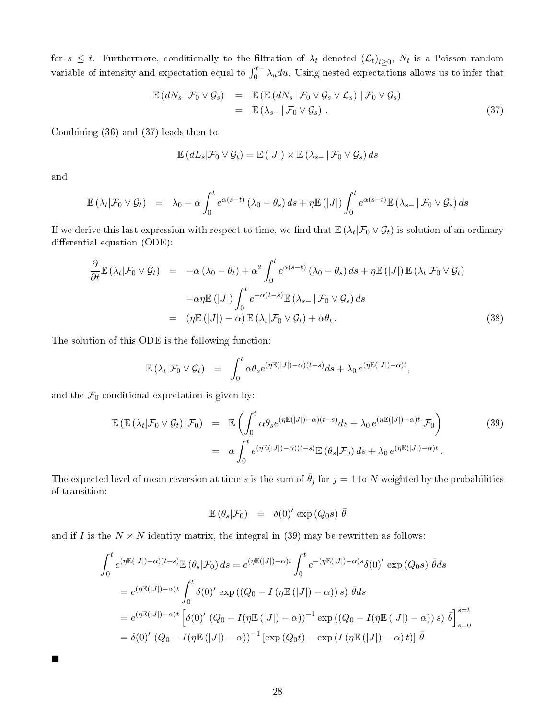for  $s\leq t$ . Furthermore, conditionally to the filtration of  $\lambda_t$  denoted  $(\mathcal{L}_t)_{t\geq 0},\ N_t$  is a Poisson random variable of intensity and expectation equal to  $\int_0^{t-} \lambda_u du$ . Using nested expectations allows us to infer that

$$
\mathbb{E}\left(dN_s\,|\,\mathcal{F}_0\vee\mathcal{G}_s\right) = \mathbb{E}\left(\mathbb{E}\left(dN_s\,|\,\mathcal{F}_0\vee\mathcal{G}_s\vee\mathcal{L}_s\right)\,|\,\mathcal{F}_0\vee\mathcal{G}_s\right) \n= \mathbb{E}\left(\lambda_{s-}\,|\,\mathcal{F}_0\vee\mathcal{G}_s\right).
$$
\n(37)

Combining (36) and (37) leads then to

$$
\mathbb{E}\left(dL_s|\mathcal{F}_0\vee\mathcal{G}_t\right)=\mathbb{E}\left(|J|\right)\times\mathbb{E}\left(\lambda_{s-}|\mathcal{F}_0\vee\mathcal{G}_s\right)ds
$$

and

 $\blacksquare$ 

$$
\mathbb{E}(\lambda_t|\mathcal{F}_0\vee\mathcal{G}_t) = \lambda_0 - \alpha \int_0^t e^{\alpha(s-t)} (\lambda_0-\theta_s) ds + \eta \mathbb{E}(|J|) \int_0^t e^{\alpha(s-t)} \mathbb{E}(\lambda_{s-}|\mathcal{F}_0\vee\mathcal{G}_s) ds
$$

If we derive this last expression with respect to time, we find that  $\mathbb{E}(\lambda_t|\mathcal{F}_0\vee\mathcal{G}_t)$  is solution of an ordinary differential equation (ODE):

$$
\frac{\partial}{\partial t} \mathbb{E} \left( \lambda_t | \mathcal{F}_0 \vee \mathcal{G}_t \right) = -\alpha \left( \lambda_0 - \theta_t \right) + \alpha^2 \int_0^t e^{\alpha(s-t)} \left( \lambda_0 - \theta_s \right) ds + \eta \mathbb{E} \left( |J| \right) \mathbb{E} \left( \lambda_t | \mathcal{F}_0 \vee \mathcal{G}_t \right) \n- \alpha \eta \mathbb{E} \left( |J| \right) \int_0^t e^{-\alpha(t-s)} \mathbb{E} \left( \lambda_{s-} | \mathcal{F}_0 \vee \mathcal{G}_s \right) ds \n= \left( \eta \mathbb{E} \left( |J| \right) - \alpha \right) \mathbb{E} \left( \lambda_t | \mathcal{F}_0 \vee \mathcal{G}_t \right) + \alpha \theta_t.
$$
\n(38)

The solution of this ODE is the following function:

$$
\mathbb{E}(\lambda_t|\mathcal{F}_0\vee\mathcal{G}_t) = \int_0^t \alpha \theta_s e^{(\eta \mathbb{E}(|J|)-\alpha)(t-s)} ds + \lambda_0 e^{(\eta \mathbb{E}(|J|)-\alpha)t},
$$

and the  $\mathcal{F}_0$  conditional expectation is given by:

$$
\mathbb{E}\left(\mathbb{E}\left(\lambda_t|\mathcal{F}_0\vee\mathcal{G}_t\right)|\mathcal{F}_0\right) = \mathbb{E}\left(\int_0^t \alpha\theta_s e^{(\eta \mathbb{E}(|J|)-\alpha)(t-s)}ds + \lambda_0 e^{(\eta \mathbb{E}(|J|)-\alpha)t}|\mathcal{F}_0\right)
$$
\n
$$
= \alpha \int_0^t e^{(\eta \mathbb{E}(|J|)-\alpha)(t-s)} \mathbb{E}\left(\theta_s|\mathcal{F}_0\right)ds + \lambda_0 e^{(\eta \mathbb{E}(|J|)-\alpha)t}.
$$
\n(39)

The expected level of mean reversion at time s is the sum of  $\bar{\theta}_j$  for  $j = 1$  to N weighted by the probabilities of transition:

$$
\mathbb{E}(\theta_s|\mathcal{F}_0) = \delta(0)' \exp(Q_0 s) \bar{\theta}
$$

and if I is the  $N \times N$  identity matrix, the integral in (39) may be rewritten as follows:

$$
\int_0^t e^{(\eta \mathbb{E}(|J|) - \alpha)(t-s)} \mathbb{E}(\theta_s | \mathcal{F}_0) ds = e^{(\eta \mathbb{E}(|J|) - \alpha)t} \int_0^t e^{-(\eta \mathbb{E}(|J|) - \alpha)s} \delta(0)' \exp(Q_0 s) \bar{\theta} ds
$$
  
\n
$$
= e^{(\eta \mathbb{E}(|J|) - \alpha)t} \int_0^t \delta(0)' \exp((Q_0 - I(\eta \mathbb{E}(|J|) - \alpha)) s) \bar{\theta} ds
$$
  
\n
$$
= e^{(\eta \mathbb{E}(|J|) - \alpha)t} \left[ \delta(0)' (Q_0 - I(\eta \mathbb{E}(|J|) - \alpha))^{-1} \exp((Q_0 - I(\eta \mathbb{E}(|J|) - \alpha)) s) \bar{\theta} \right]_{s=0}^{s=t}
$$
  
\n
$$
= \delta(0)' (Q_0 - I(\eta \mathbb{E}(|J|) - \alpha))^{-1} [\exp(Q_0 t) - \exp(I(\eta \mathbb{E}(|J|) - \alpha) t)] \bar{\theta}
$$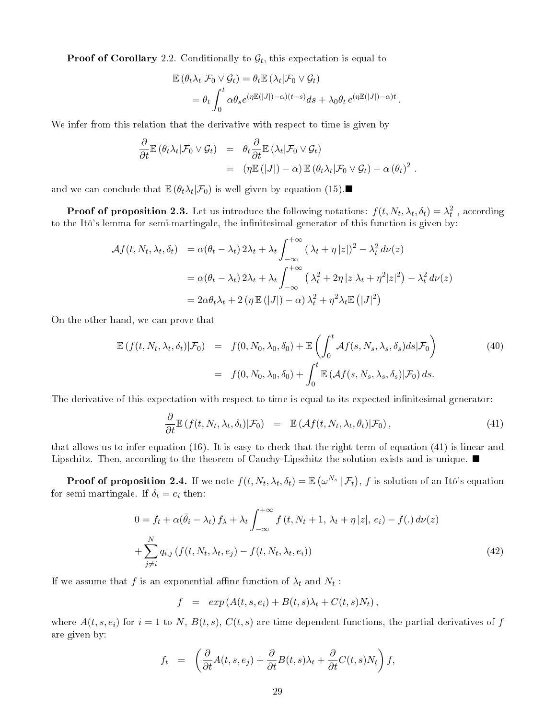**Proof of Corollary** 2.2. Conditionally to  $\mathcal{G}_t$ , this expectation is equal to

$$
\mathbb{E} (\theta_t \lambda_t | \mathcal{F}_0 \vee \mathcal{G}_t) = \theta_t \mathbb{E} (\lambda_t | \mathcal{F}_0 \vee \mathcal{G}_t)
$$
  
= 
$$
\theta_t \int_0^t \alpha \theta_s e^{(\eta \mathbb{E}(|J|) - \alpha)(t-s)} ds + \lambda_0 \theta_t e^{(\eta \mathbb{E}(|J|) - \alpha)t}.
$$

We infer from this relation that the derivative with respect to time is given by

$$
\frac{\partial}{\partial t} \mathbb{E} (\theta_t \lambda_t | \mathcal{F}_0 \vee \mathcal{G}_t) = \theta_t \frac{\partial}{\partial t} \mathbb{E} (\lambda_t | \mathcal{F}_0 \vee \mathcal{G}_t) \n= (\eta \mathbb{E} (|J|) - \alpha) \mathbb{E} (\theta_t \lambda_t | \mathcal{F}_0 \vee \mathcal{G}_t) + \alpha (\theta_t)^2.
$$

and we can conclude that  $\mathbb{E}(\theta_t \lambda_t | \mathcal{F}_0)$  is well given by equation (15).

**Proof of proposition 2.3.** Let us introduce the following notations:  $f(t, N_t, \lambda_t, \delta_t) = \lambda_t^2$ , according to the Itô's lemma for semi-martingale, the infinitesimal generator of this function is given by:

$$
\mathcal{A}f(t, N_t, \lambda_t, \delta_t) = \alpha(\theta_t - \lambda_t) 2\lambda_t + \lambda_t \int_{-\infty}^{+\infty} (\lambda_t + \eta |z|)^2 - \lambda_t^2 d\nu(z)
$$
  

$$
= \alpha(\theta_t - \lambda_t) 2\lambda_t + \lambda_t \int_{-\infty}^{+\infty} (\lambda_t^2 + 2\eta |z|\lambda_t + \eta^2 |z|^2) - \lambda_t^2 d\nu(z)
$$
  

$$
= 2\alpha \theta_t \lambda_t + 2 (\eta \mathbb{E}(|J|) - \alpha) \lambda_t^2 + \eta^2 \lambda_t \mathbb{E}(|J|^2)
$$

On the other hand, we can prove that

$$
\mathbb{E}\left(f(t, N_t, \lambda_t, \delta_t)|\mathcal{F}_0\right) = f(0, N_0, \lambda_0, \delta_0) + \mathbb{E}\left(\int_0^t \mathcal{A}f(s, N_s, \lambda_s, \delta_s)ds|\mathcal{F}_0\right)
$$
\n
$$
= f(0, N_0, \lambda_0, \delta_0) + \int_0^t \mathbb{E}\left(\mathcal{A}f(s, N_s, \lambda_s, \delta_s)|\mathcal{F}_0\right)ds.
$$
\n(40)

The derivative of this expectation with respect to time is equal to its expected infinitesimal generator:

$$
\frac{\partial}{\partial t} \mathbb{E} \left( f(t, N_t, \lambda_t, \delta_t) | \mathcal{F}_0 \right) = \mathbb{E} \left( \mathcal{A} f(t, N_t, \lambda_t, \theta_t) | \mathcal{F}_0 \right), \tag{41}
$$

that allows us to infer equation (16). It is easy to check that the right term of equation (41) is linear and Lipschitz. Then, according to the theorem of Cauchy-Lipschitz the solution exists and is unique.  $\blacksquare$ 

**Proof of proposition 2.4.** If we note  $f(t, N_t, \lambda_t, \delta_t) = \mathbb{E}\left(\omega^{N_s} \, | \, \mathcal{F}_t \right), f$  is solution of an Itô's equation for semi martingale. If  $\delta_t = e_i$  then:

$$
0 = f_t + \alpha(\bar{\theta}_i - \lambda_t) f_\lambda + \lambda_t \int_{-\infty}^{+\infty} f(t, N_t + 1, \lambda_t + \eta |z|, e_i) - f(.) d\nu(z)
$$
  
+ 
$$
\sum_{j \neq i}^{N} q_{i,j} (f(t, N_t, \lambda_t, e_j) - f(t, N_t, \lambda_t, e_i))
$$
(42)

If we assume that  $f$  is an exponential affine function of  $\lambda_t$  and  $N_t$  :

$$
f = exp(A(t, s, e_i) + B(t, s)\lambda_t + C(t, s)N_t),
$$

where  $A(t, s, e_i)$  for  $i = 1$  to N,  $B(t, s)$ ,  $C(t, s)$  are time dependent functions, the partial derivatives of f are given by:

$$
f_t = \left(\frac{\partial}{\partial t}A(t,s,e_j) + \frac{\partial}{\partial t}B(t,s)\lambda_t + \frac{\partial}{\partial t}C(t,s)N_t\right)f,
$$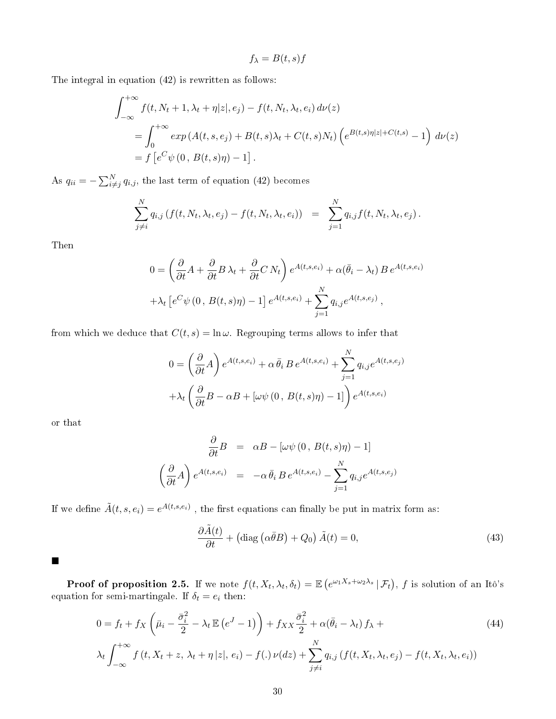$$
f_{\lambda} = B(t, s)f
$$

The integral in equation (42) is rewritten as follows:

$$
\int_{-\infty}^{+\infty} f(t, N_t + 1, \lambda_t + \eta |z|, e_j) - f(t, N_t, \lambda_t, e_i) d\nu(z)
$$
  
= 
$$
\int_0^{+\infty} exp(A(t, s, e_j) + B(t, s)\lambda_t + C(t, s)N_t) \left(e^{B(t, s)\eta |z| + C(t, s)} - 1\right) d\nu(z)
$$
  
= 
$$
f\left[e^C \psi(0, B(t, s)\eta) - 1\right].
$$

As  $q_{ii} = -\sum_{i \neq j}^{N} q_{i,j}$ , the last term of equation (42) becomes

$$
\sum_{j \neq i}^{N} q_{i,j} \left( f(t, N_t, \lambda_t, e_j) - f(t, N_t, \lambda_t, e_i) \right) = \sum_{j=1}^{N} q_{i,j} f(t, N_t, \lambda_t, e_j).
$$

Then

$$
0 = \left(\frac{\partial}{\partial t}A + \frac{\partial}{\partial t}B\lambda_t + \frac{\partial}{\partial t}C\,N_t\right)e^{A(t,s,e_i)} + \alpha(\bar{\theta}_i - \lambda_t)B\,e^{A(t,s,e_i)}
$$

$$
+ \lambda_t\left[e^C\psi(0, B(t,s)\eta) - 1\right]e^{A(t,s,e_i)} + \sum_{j=1}^N q_{i,j}e^{A(t,s,e_j)},
$$

from which we deduce that  $C(t, s) = \ln \omega$ . Regrouping terms allows to infer that

$$
0 = \left(\frac{\partial}{\partial t}A\right)e^{A(t,s,e_i)} + \alpha \bar{\theta}_i B e^{A(t,s,e_i)} + \sum_{j=1}^N q_{i,j}e^{A(t,s,e_j)}
$$

$$
+ \lambda_t \left(\frac{\partial}{\partial t}B - \alpha B + \left[\omega \psi\left(0, B(t,s)\eta\right) - 1\right]\right)e^{A(t,s,e_i)}
$$

or that

$$
\frac{\partial}{\partial t}B = \alpha B - [\omega \psi (0, B(t, s)\eta) - 1]
$$

$$
\left(\frac{\partial}{\partial t}A\right) e^{A(t, s, e_i)} = -\alpha \bar{\theta}_i B e^{A(t, s, e_i)} - \sum_{j=1}^N q_{i,j} e^{A(t, s, e_j)}
$$

If we define  $\tilde{A}(t,s,e_i)=e^{A(t,s,e_i)}$  , the first equations can finally be put in matrix form as:

$$
\frac{\partial \tilde{A}(t)}{\partial t} + \left(\text{diag}\left(\alpha \bar{\theta} B\right) + Q_0\right) \tilde{A}(t) = 0,\tag{43}
$$

 $\blacksquare$ 

**Proof of proposition 2.5.** If we note  $f(t, X_t, \lambda_t, \delta_t) = \mathbb{E} \left( e^{\omega_1 X_s + \omega_2 \lambda_s} | \mathcal{F}_t \right)$ , f is solution of an Itô's equation for semi-martingale. If  $\delta_t = e_i$  then:

$$
0 = f_t + f_X \left(\bar{\mu}_i - \frac{\bar{\sigma}_i^2}{2} - \lambda_t \mathbb{E}\left(e^J - 1\right)\right) + f_{XX}\frac{\bar{\sigma}_i^2}{2} + \alpha(\bar{\theta}_i - \lambda_t) f_\lambda +
$$
  

$$
\lambda_t \int_{-\infty}^{+\infty} f\left(t, X_t + z, \lambda_t + \eta |z|, e_i\right) - f(.) \nu(dz) + \sum_{j \neq i}^N q_{i,j} \left(f(t, X_t, \lambda_t, e_j) - f(t, X_t, \lambda_t, e_i)\right)
$$
 (44)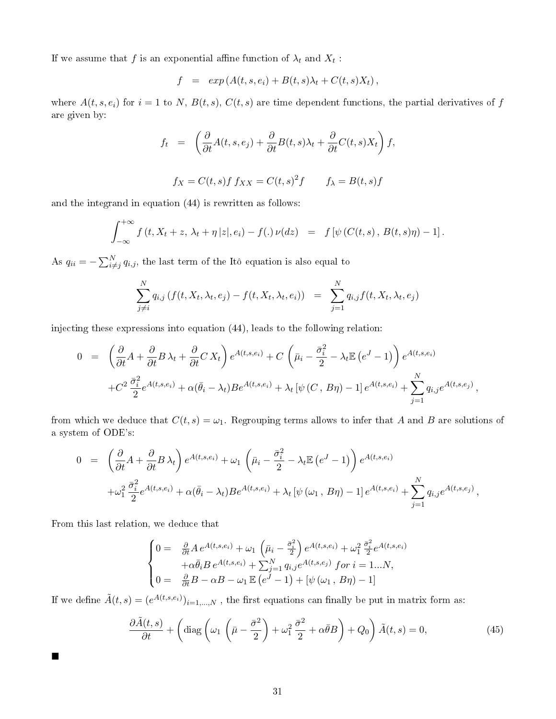If we assume that  $f$  is an exponential affine function of  $\lambda_t$  and  $X_t$  :

$$
f = exp(A(t, s, e_i) + B(t, s)\lambda_t + C(t, s)X_t),
$$

where  $A(t, s, e_i)$  for  $i = 1$  to N,  $B(t, s)$ ,  $C(t, s)$  are time dependent functions, the partial derivatives of f are given by:

$$
f_t = \left(\frac{\partial}{\partial t}A(t,s,e_j) + \frac{\partial}{\partial t}B(t,s)\lambda_t + \frac{\partial}{\partial t}C(t,s)X_t\right)f,
$$

$$
f_X = C(t,s)f f_{XX} = C(t,s)^2 f \qquad f_\lambda = B(t,s)f
$$

and the integrand in equation (44) is rewritten as follows:

$$
\int_{-\infty}^{+\infty} f(t, X_t + z, \, \lambda_t + \eta \, |z|, e_i) - f(.) \, \nu(dz) = f\left[\psi\left(C(t, s), B(t, s)\eta\right) - 1\right].
$$

As  $q_{ii} = -\sum_{i \neq j}^{N} q_{i,j}$ , the last term of the Itô equation is also equal to

$$
\sum_{j \neq i}^{N} q_{i,j} \left( f(t, X_t, \lambda_t, e_j) - f(t, X_t, \lambda_t, e_i) \right) = \sum_{j=1}^{N} q_{i,j} f(t, X_t, \lambda_t, e_j)
$$

injecting these expressions into equation (44), leads to the following relation:

$$
0 = \left(\frac{\partial}{\partial t}A + \frac{\partial}{\partial t}B\lambda_t + \frac{\partial}{\partial t}CX_t\right)e^{A(t,s,e_i)} + C\left(\bar{\mu}_i - \frac{\bar{\sigma}_i^2}{2} - \lambda_t \mathbb{E}\left(e^J - 1\right)\right)e^{A(t,s,e_i)} + C^2 \frac{\bar{\sigma}_i^2}{2}e^{A(t,s,e_i)} + \alpha(\bar{\theta}_i - \lambda_t)Be^{A(t,s,e_i)} + \lambda_t \left[\psi\left(C, B\eta\right) - 1\right]e^{A(t,s,e_i)} + \sum_{j=1}^N q_{i,j}e^{A(t,s,e_j)},
$$

from which we deduce that  $C(t, s) = \omega_1$ . Regrouping terms allows to infer that A and B are solutions of a system of ODE's:

$$
0 = \left(\frac{\partial}{\partial t}A + \frac{\partial}{\partial t}B\lambda_t\right)e^{A(t,s,e_i)} + \omega_1\left(\bar{\mu}_i - \frac{\bar{\sigma}_i^2}{2} - \lambda_t\mathbb{E}\left(e^J - 1\right)\right)e^{A(t,s,e_i)} + \omega_1^2\frac{\bar{\sigma}_i^2}{2}e^{A(t,s,e_i)} + \alpha(\bar{\theta}_i - \lambda_t)Be^{A(t,s,e_i)} + \lambda_t\left[\psi\left(\omega_1\,,\,B\eta\right) - 1\right]e^{A(t,s,e_i)} + \sum_{j=1}^N q_{i,j}e^{A(t,s,e_j)},
$$

From this last relation, we deduce that

 $\blacksquare$ 

$$
\begin{cases}\n0 = \frac{\partial}{\partial t} A e^{A(t,s,e_i)} + \omega_1 \left(\bar{\mu}_i - \frac{\bar{\sigma}_i^2}{2}\right) e^{A(t,s,e_i)} + \omega_1^2 \frac{\bar{\sigma}_i^2}{2} e^{A(t,s,e_i)} \\
+ \alpha \bar{\theta}_i B e^{A(t,s,e_i)} + \sum_{j=1}^N q_{i,j} e^{A(t,s,e_j)} \text{ for } i = 1...N, \\
0 = \frac{\partial}{\partial t} B - \alpha B - \omega_1 \mathbb{E}\left(e^J - 1\right) + \left[\psi\left(\omega_1, B\eta\right) - 1\right]\n\end{cases}
$$

If we define  $\tilde{A}(t,s) = (e^{A(t,s,e_i)})_{i=1,...,N}$  , the first equations can finally be put in matrix form as:

$$
\frac{\partial \tilde{A}(t,s)}{\partial t} + \left(\text{diag}\left(\omega_1 \left(\bar{\mu} - \frac{\bar{\sigma}^2}{2}\right) + \omega_1^2 \frac{\bar{\sigma}^2}{2} + \alpha \bar{\theta} B\right) + Q_0\right) \tilde{A}(t,s) = 0,\tag{45}
$$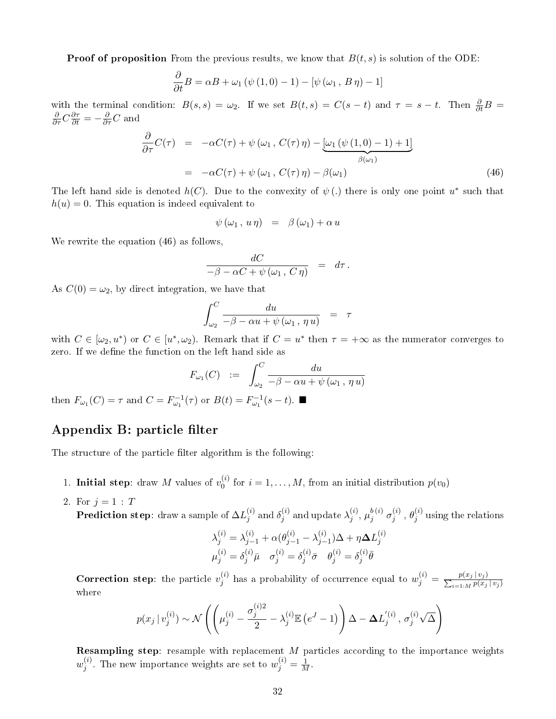**Proof of proposition** From the previous results, we know that  $B(t, s)$  is solution of the ODE:

$$
\frac{\partial}{\partial t}B = \alpha B + \omega_1 \left( \psi (1,0) - 1 \right) - \left[ \psi (\omega_1, B \eta) - 1 \right]
$$

with the terminal condition:  $B(s,s) = \omega_2$ . If we set  $B(t,s) = C(s-t)$  and  $\tau = s-t$ . Then  $\frac{\partial}{\partial t}B =$  $\frac{\partial}{\partial \tau} C \frac{\partial \tau}{\partial t} = -\frac{\partial}{\partial \tau} C$  and

$$
\frac{\partial}{\partial \tau} C(\tau) = -\alpha C(\tau) + \psi(\omega_1, C(\tau) \eta) - \underbrace{[\omega_1(\psi(1,0) - 1) + 1]}_{\beta(\omega_1)}
$$
\n
$$
= -\alpha C(\tau) + \psi(\omega_1, C(\tau) \eta) - \beta(\omega_1) \tag{46}
$$

The left hand side is denoted  $h(C)$ . Due to the convexity of  $\psi$  (.) there is only one point  $u^*$  such that  $h(u) = 0$ . This equation is indeed equivalent to

$$
\psi(\omega_1, u\eta) = \beta(\omega_1) + \alpha u
$$

We rewrite the equation  $(46)$  as follows.

$$
\frac{dC}{-\beta - \alpha C + \psi(\omega_1, C\eta)} = d\tau.
$$

As  $C(0) = \omega_2$ , by direct integration, we have that

$$
\int_{\omega_2}^C \frac{du}{-\beta - \alpha u + \psi(\omega_1, \eta u)} = \tau
$$

with  $C \in [\omega_2, u^*)$  or  $C \in [u^*, \omega_2)$ . Remark that if  $C = u^*$  then  $\tau = +\infty$  as the numerator converges to zero. If we define the function on the left hand side as

$$
F_{\omega_1}(C) := \int_{\omega_2}^C \frac{du}{-\beta - \alpha u + \psi(\omega_1, \eta u)}
$$

then  $F_{\omega_1}(C) = \tau$  and  $C = F_{\omega_1}^{-1}(\tau)$  or  $B(t) = F_{\omega_1}^{-1}(s - t)$ .

## Appendix B: particle filter

The structure of the particle filter algorithm is the following:

- 1. Initial step: draw M values of  $v_0^{(i)}$  $j_0^{(i)}$  for  $i = 1, ..., M$ , from an initial distribution  $p(v_0)$
- 2. For  $j = 1 : T$

**Prediction step**: draw a sample of  $\Delta L^{(i)}_j$  $_j^{(i)}$  and  $\delta_j^{(i)}$  $j^{(i)}_j$  and update  $\lambda^{(i)}_j$  $j^{(i)},\mu_j^{b\,(i)}$  $_{j}^{b\,(i)}\,\sigma_{j}^{(i)}$  ${\theta_j^{(i)}}$  ,  ${\theta_j^{(i)}}$  $j^{(i)}$  using the relations

$$
\lambda_j^{(i)} = \lambda_{j-1}^{(i)} + \alpha(\theta_{j-1}^{(i)} - \lambda_{j-1}^{(i)})\Delta + \eta \Delta L_j^{(i)}
$$
  

$$
\mu_j^{(i)} = \delta_j^{(i)} \bar{\mu} \quad \sigma_j^{(i)} = \delta_j^{(i)} \bar{\sigma} \quad \theta_j^{(i)} = \delta_j^{(i)} \bar{\theta}
$$

**Correction step**: the particle  $v_i^{(i)}$ (i) has a probability of occurrence equal to  $w_j^{(i)} = \frac{p(x_j | v_j)}{\sum_{i=1 \ldots M} p(x_i)}$  $_{i=1:M} p(x_j | v_j)$ where

$$
p(x_j | v_j^{(i)}) \sim \mathcal{N}\left(\left(\mu_j^{(i)} - \frac{\sigma_j^{(i)2}}{2} - \lambda_j^{(i)} \mathbb{E}\left(e^J - 1\right)\right) \Delta - \Delta L_j^{'(i)}, \sigma_j^{(i)} \sqrt{\Delta}\right)
$$

Resampling step: resample with replacement M particles according to the importance weights  $w_i^{(i)}$  $j^{(i)}$ . The new importance weights are set to  $w_j^{(i)} = \frac{1}{M}$ .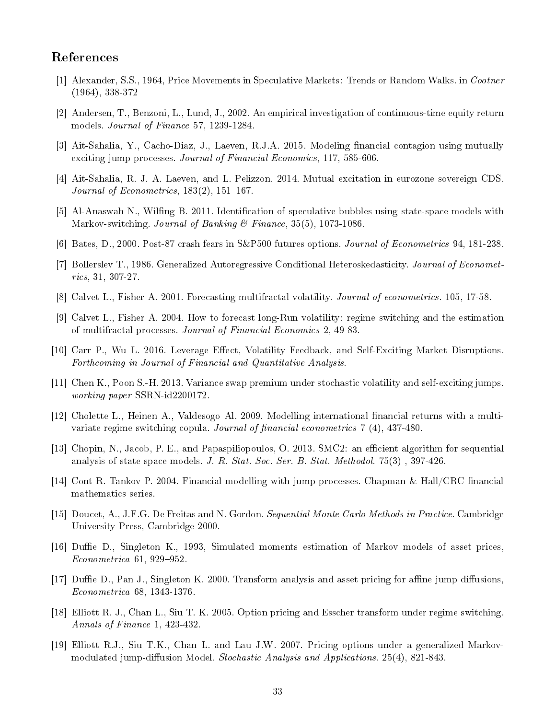### References

- [1] Alexander, S.S., 1964, Price Movements in Speculative Markets: Trends or Random Walks. in Cootner (1964), 338-372
- [2] Andersen, T., Benzoni, L., Lund, J., 2002. An empirical investigation of continuous-time equity return models. Journal of Finance 57, 1239-1284.
- [3] Ait-Sahalia, Y., Cacho-Diaz, J., Laeven, R.J.A. 2015. Modeling financial contagion using mutually exciting jump processes. Journal of Financial Economics, 117, 585-606.
- [4] Ait-Sahalia, R. J. A. Laeven, and L. Pelizzon. 2014. Mutual excitation in eurozone sovereign CDS. Journal of Econometrics,  $183(2)$ ,  $151-167$ .
- [5] Al-Anaswah N., Wilfing B. 2011. Identification of speculative bubbles using state-space models with Markov-switching. Journal of Banking & Finance, 35(5), 1073-1086.
- [6] Bates, D., 2000. Post-87 crash fears in S&P500 futures options. Journal of Econometrics 94, 181-238.
- [7] Bollerslev T., 1986. Generalized Autoregressive Conditional Heteroskedasticity. Journal of Econometrics, 31, 307-27.
- [8] Calvet L., Fisher A. 2001. Forecasting multifractal volatility. Journal of econometrics. 105, 17-58.
- [9] Calvet L., Fisher A. 2004. How to forecast long-Run volatility: regime switching and the estimation of multifractal processes. Journal of Financial Economics 2, 49-83.
- [10] Carr P., Wu L. 2016. Leverage Effect, Volatility Feedback, and Self-Exciting Market Disruptions. Forthcoming in Journal of Financial and Quantitative Analysis.
- [11] Chen K., Poon S.-H. 2013. Variance swap premium under stochastic volatility and self-exciting jumps. working paper SSRN-id2200172.
- [12] Cholette L., Heinen A., Valdesogo Al. 2009. Modelling international financial returns with a multivariate regime switching copula. Journal of financial econometrics  $7(4)$ , 437-480.
- [13] Chopin, N., Jacob, P. E., and Papaspiliopoulos, O. 2013. SMC2: an efficient algorithm for sequential analysis of state space models. J. R. Stat. Soc. Ser. B. Stat. Methodol. 75(3) , 397-426.
- [14] Cont R. Tankov P. 2004. Financial modelling with jump processes. Chapman & Hall/CRC financial mathematics series.
- [15] Doucet, A., J.F.G. De Freitas and N. Gordon. Sequential Monte Carlo Methods in Practice. Cambridge University Press, Cambridge 2000.
- [16] Duffie D., Singleton K., 1993, Simulated moments estimation of Markov models of asset prices,  $Econometrica$  61, 929-952.
- [17] Duffie D., Pan J., Singleton K. 2000. Transform analysis and asset pricing for affine jump diffusions, Econometrica 68, 1343-1376.
- [18] Elliott R. J., Chan L., Siu T. K. 2005. Option pricing and Esscher transform under regime switching. Annals of Finance 1, 423-432.
- [19] Elliott R.J., Siu T.K., Chan L. and Lau J.W. 2007. Pricing options under a generalized Markovmodulated jump-diffusion Model. Stochastic Analysis and Applications.  $25(4)$ , 821-843.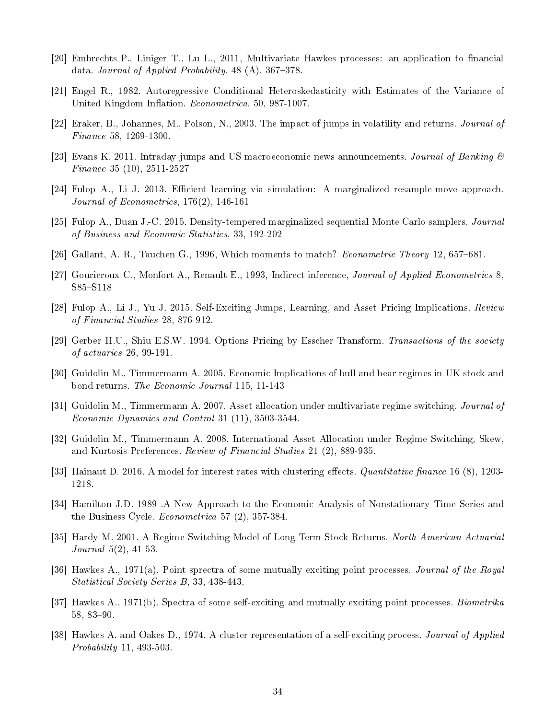- [20] Embrechts P., Liniger T., Lu L., 2011, Multivariate Hawkes processes: an application to financial data. Journal of Applied Probability,  $48(A)$ ,  $367-378$ .
- [21] Engel R., 1982. Autoregressive Conditional Heteroskedasticity with Estimates of the Variance of United Kingdom Inflation. Econometrica, 50, 987-1007.
- [22] Eraker, B., Johannes, M., Polson, N., 2003. The impact of jumps in volatility and returns. Journal of Finance 58, 1269-1300.
- [23] Evans K. 2011. Intraday jumps and US macroeconomic news announcements. Journal of Banking  $\mathcal{B}$ Finance 35 (10), 2511-2527
- [24] Fulop A., Li J. 2013. Efficient learning via simulation: A marginalized resample-move approach. Journal of Econometrics, 176(2), 146-161
- [25] Fulop A., Duan J.-C. 2015. Density-tempered marginalized sequential Monte Carlo samplers. Journal of Business and Economic Statistics, 33, 192-202
- [26] Gallant, A. R., Tauchen G., 1996, Which moments to match? *Econometric Theory* 12, 657–681.
- [27] Gourieroux C., Monfort A., Renault E., 1993, Indirect inference, *Journal of Applied Econometrics* 8. S85-S118
- [28] Fulop A., Li J., Yu J. 2015. Self-Exciting Jumps, Learning, and Asset Pricing Implications. Review of Financial Studies 28, 876-912.
- [29] Gerber H.U., Shiu E.S.W. 1994. Options Pricing by Esscher Transform. Transactions of the society of actuaries 26, 99-191.
- [30] Guidolin M., Timmermann A. 2005. Economic Implications of bull and bear regimes in UK stock and bond returns. The Economic Journal 115, 11-143
- [31] Guidolin M., Timmermann A. 2007. Asset allocation under multivariate regime switching. Journal of Economic Dynamics and Control 31 (11), 3503-3544.
- [32] Guidolin M., Timmermann A. 2008. International Asset Allocation under Regime Switching, Skew, and Kurtosis Preferences. Review of Financial Studies 21 (2), 889-935.
- [33] Hainaut D. 2016. A model for interest rates with clustering effects. *Quantitative finance* 16 (8), 1203-1218.
- [34] Hamilton J.D. 1989 .A New Approach to the Economic Analysis of Nonstationary Time Series and the Business Cycle. Econometrica 57 (2), 357-384.
- [35] Hardy M. 2001. A Regime-Switching Model of Long-Term Stock Returns. North American Actuarial Journal 5(2), 41-53.
- [36] Hawkes A., 1971(a). Point sprectra of some mutually exciting point processes. Journal of the Royal Statistical Society Series B, 33, 438-443.
- [37] Hawkes A., 1971(b). Spectra of some self-exciting and mutually exciting point processes. *Biometrika*  $58, 83 - 90.$
- [38] Hawkes A. and Oakes D., 1974. A cluster representation of a self-exciting process. Journal of Applied Probability 11, 493-503.